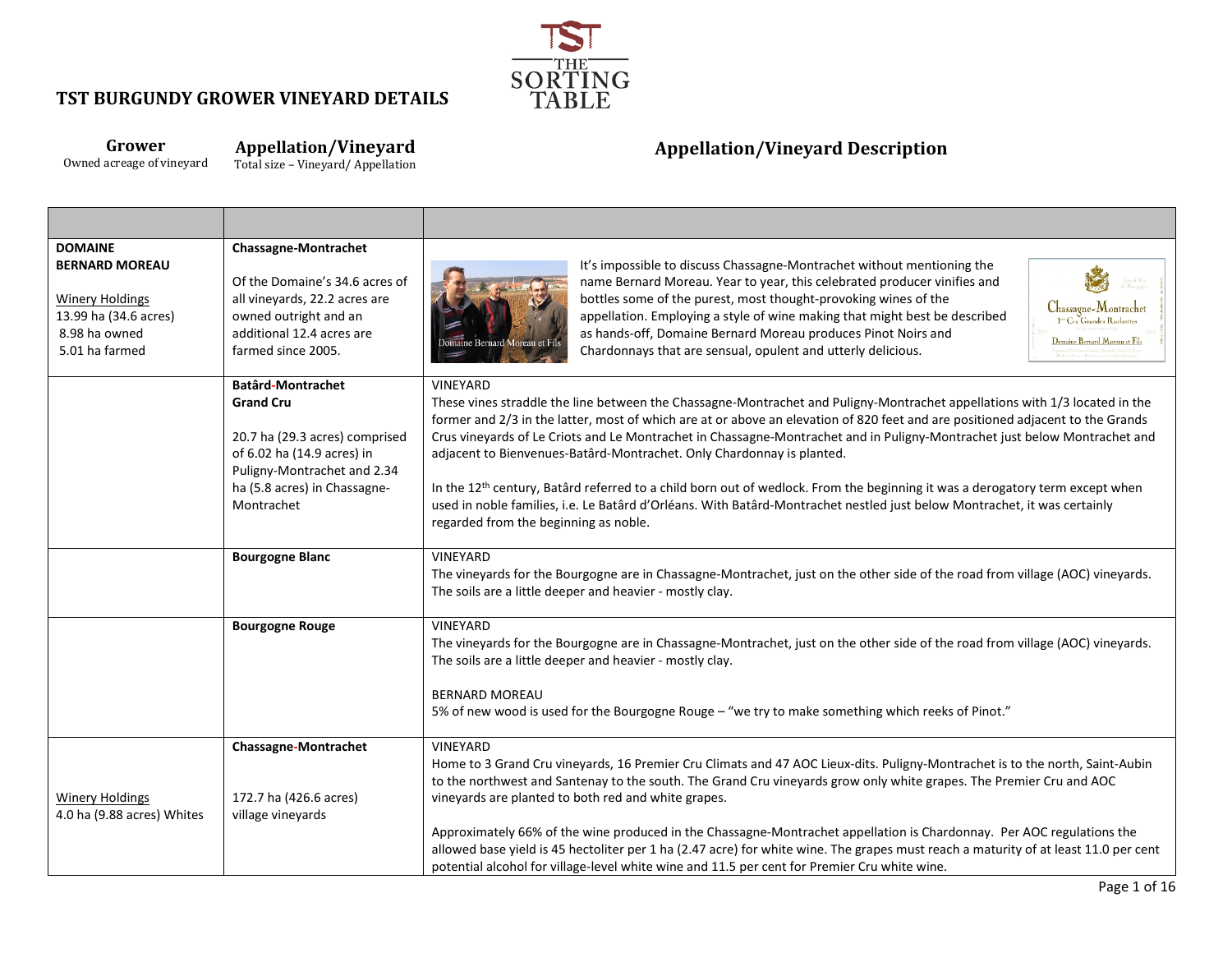

#### **Grower** Owned acreage of vineyard **Appellation/Vineyard**

Total size – Vineyard/ Appellation

| <b>DOMAINE</b><br><b>BERNARD MOREAU</b><br><b>Winery Holdings</b><br>13.99 ha (34.6 acres)<br>8.98 ha owned<br>5.01 ha farmed | Chassagne-Montrachet<br>Of the Domaine's 34.6 acres of<br>all vineyards, 22.2 acres are<br>owned outright and an<br>additional 12.4 acres are<br>farmed since 2005.                       | It's impossible to discuss Chassagne-Montrachet without mentioning the<br>Grand Vin<br>she Bourgage<br>name Bernard Moreau. Year to year, this celebrated producer vinifies and<br>bottles some of the purest, most thought-provoking wines of the<br>Chassagne-Montrachet<br>appellation. Employing a style of wine making that might best be described<br><sup>1er</sup> Cru Grandes Ruchottes<br>as hands-off, Domaine Bernard Moreau produces Pinot Noirs and<br>Domaine Bernard Moreau et Fils<br>omaine Bernard Moreau et Fils<br>Chardonnays that are sensual, opulent and utterly delicious.                                                                                                                                                                                                   |
|-------------------------------------------------------------------------------------------------------------------------------|-------------------------------------------------------------------------------------------------------------------------------------------------------------------------------------------|--------------------------------------------------------------------------------------------------------------------------------------------------------------------------------------------------------------------------------------------------------------------------------------------------------------------------------------------------------------------------------------------------------------------------------------------------------------------------------------------------------------------------------------------------------------------------------------------------------------------------------------------------------------------------------------------------------------------------------------------------------------------------------------------------------|
|                                                                                                                               | <b>Batârd-Montrachet</b><br><b>Grand Cru</b><br>20.7 ha (29.3 acres) comprised<br>of 6.02 ha (14.9 acres) in<br>Puligny-Montrachet and 2.34<br>ha (5.8 acres) in Chassagne-<br>Montrachet | <b>VINEYARD</b><br>These vines straddle the line between the Chassagne-Montrachet and Puligny-Montrachet appellations with 1/3 located in the<br>former and 2/3 in the latter, most of which are at or above an elevation of 820 feet and are positioned adjacent to the Grands<br>Crus vineyards of Le Criots and Le Montrachet in Chassagne-Montrachet and in Puligny-Montrachet just below Montrachet and<br>adjacent to Bienvenues-Batârd-Montrachet. Only Chardonnay is planted.<br>In the 12 <sup>th</sup> century, Batârd referred to a child born out of wedlock. From the beginning it was a derogatory term except when<br>used in noble families, i.e. Le Batârd d'Orléans. With Batârd-Montrachet nestled just below Montrachet, it was certainly<br>regarded from the beginning as noble. |
|                                                                                                                               | <b>Bourgogne Blanc</b>                                                                                                                                                                    | <b>VINEYARD</b><br>The vineyards for the Bourgogne are in Chassagne-Montrachet, just on the other side of the road from village (AOC) vineyards.<br>The soils are a little deeper and heavier - mostly clay.                                                                                                                                                                                                                                                                                                                                                                                                                                                                                                                                                                                           |
|                                                                                                                               | <b>Bourgogne Rouge</b>                                                                                                                                                                    | <b>VINEYARD</b><br>The vineyards for the Bourgogne are in Chassagne-Montrachet, just on the other side of the road from village (AOC) vineyards.<br>The soils are a little deeper and heavier - mostly clay.<br><b>BERNARD MOREAU</b><br>5% of new wood is used for the Bourgogne Rouge - "we try to make something which reeks of Pinot."                                                                                                                                                                                                                                                                                                                                                                                                                                                             |
| <b>Winery Holdings</b><br>4.0 ha (9.88 acres) Whites                                                                          | <b>Chassagne-Montrachet</b><br>172.7 ha (426.6 acres)<br>village vineyards                                                                                                                | VINEYARD<br>Home to 3 Grand Cru vineyards, 16 Premier Cru Climats and 47 AOC Lieux-dits. Puligny-Montrachet is to the north, Saint-Aubin<br>to the northwest and Santenay to the south. The Grand Cru vineyards grow only white grapes. The Premier Cru and AOC<br>vineyards are planted to both red and white grapes.<br>Approximately 66% of the wine produced in the Chassagne-Montrachet appellation is Chardonnay. Per AOC regulations the<br>allowed base yield is 45 hectoliter per 1 ha (2.47 acre) for white wine. The grapes must reach a maturity of at least 11.0 per cent<br>potential alcohol for village-level white wine and 11.5 per cent for Premier Cru white wine.                                                                                                                 |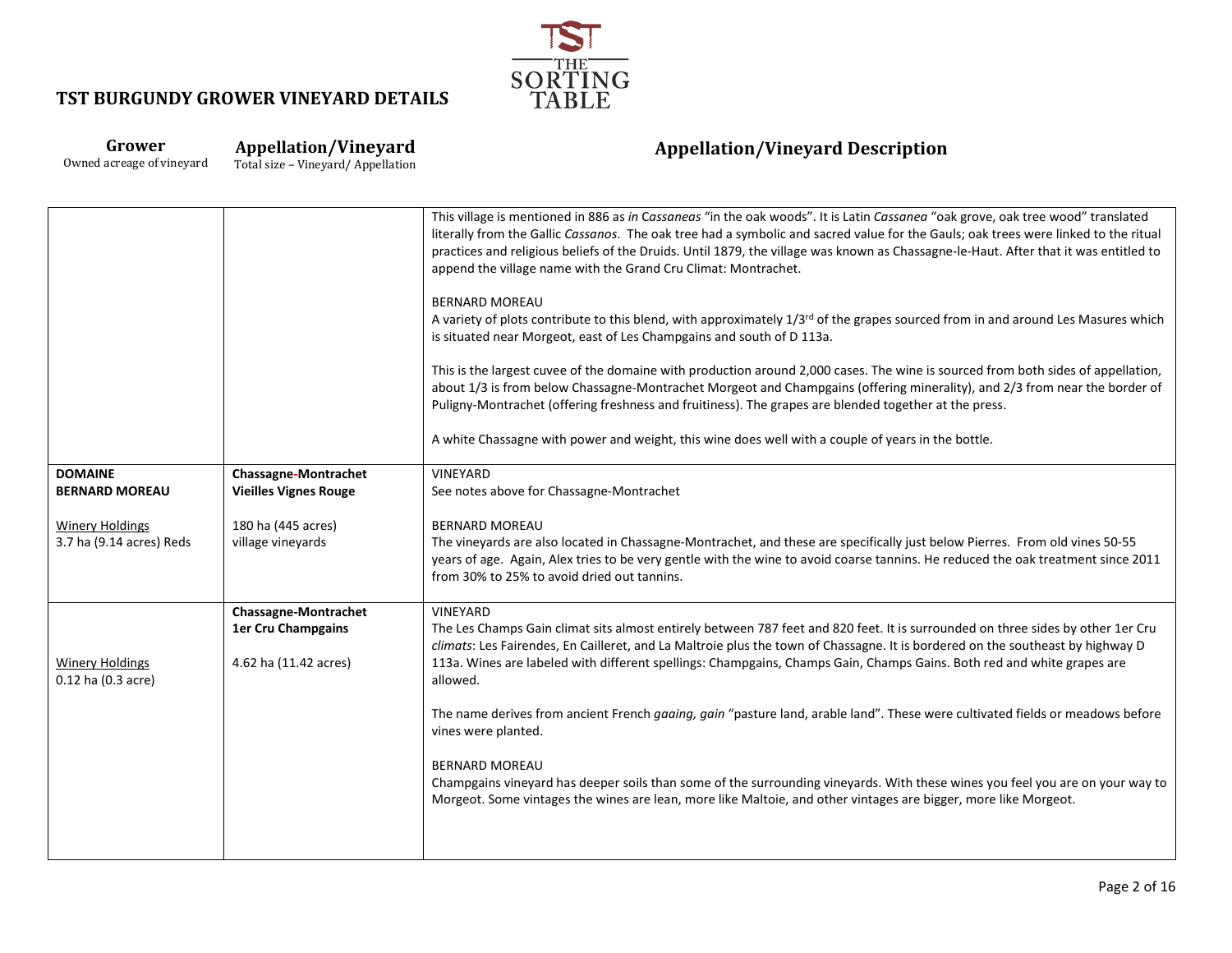

#### **Grower** Owned acreage of vineyard **Appellation/Vineyard**

Total size – Vineyard/ Appellation

|                                                    |                                         | This village is mentioned in 886 as in Cassaneas "in the oak woods". It is Latin Cassanea "oak grove, oak tree wood" translated<br>literally from the Gallic Cassanos. The oak tree had a symbolic and sacred value for the Gauls; oak trees were linked to the ritual<br>practices and religious beliefs of the Druids. Until 1879, the village was known as Chassagne-le-Haut. After that it was entitled to<br>append the village name with the Grand Cru Climat: Montrachet. |
|----------------------------------------------------|-----------------------------------------|----------------------------------------------------------------------------------------------------------------------------------------------------------------------------------------------------------------------------------------------------------------------------------------------------------------------------------------------------------------------------------------------------------------------------------------------------------------------------------|
|                                                    |                                         | <b>BERNARD MOREAU</b><br>A variety of plots contribute to this blend, with approximately 1/3 <sup>rd</sup> of the grapes sourced from in and around Les Masures which<br>is situated near Morgeot, east of Les Champgains and south of D 113a.                                                                                                                                                                                                                                   |
|                                                    |                                         | This is the largest cuvee of the domaine with production around 2,000 cases. The wine is sourced from both sides of appellation,<br>about 1/3 is from below Chassagne-Montrachet Morgeot and Champgains (offering minerality), and 2/3 from near the border of<br>Puligny-Montrachet (offering freshness and fruitiness). The grapes are blended together at the press.                                                                                                          |
|                                                    |                                         | A white Chassagne with power and weight, this wine does well with a couple of years in the bottle.                                                                                                                                                                                                                                                                                                                                                                               |
| <b>DOMAINE</b>                                     | Chassagne-Montrachet                    | VINEYARD                                                                                                                                                                                                                                                                                                                                                                                                                                                                         |
| <b>BERNARD MOREAU</b>                              | <b>Vieilles Vignes Rouge</b>            | See notes above for Chassagne-Montrachet                                                                                                                                                                                                                                                                                                                                                                                                                                         |
|                                                    |                                         |                                                                                                                                                                                                                                                                                                                                                                                                                                                                                  |
| <b>Winery Holdings</b><br>3.7 ha (9.14 acres) Reds | 180 ha (445 acres)<br>village vineyards | <b>BERNARD MOREAU</b><br>The vineyards are also located in Chassagne-Montrachet, and these are specifically just below Pierres. From old vines 50-55                                                                                                                                                                                                                                                                                                                             |
|                                                    |                                         | years of age. Again, Alex tries to be very gentle with the wine to avoid coarse tannins. He reduced the oak treatment since 2011<br>from 30% to 25% to avoid dried out tannins.                                                                                                                                                                                                                                                                                                  |
|                                                    | <b>Chassagne-Montrachet</b>             | VINEYARD                                                                                                                                                                                                                                                                                                                                                                                                                                                                         |
|                                                    | 1er Cru Champgains                      | The Les Champs Gain climat sits almost entirely between 787 feet and 820 feet. It is surrounded on three sides by other 1er Cru<br>climats: Les Fairendes, En Cailleret, and La Maltroie plus the town of Chassagne. It is bordered on the southeast by highway D                                                                                                                                                                                                                |
| <b>Winery Holdings</b><br>0.12 ha (0.3 acre)       | 4.62 ha (11.42 acres)                   | 113a. Wines are labeled with different spellings: Champgains, Champs Gain, Champs Gains. Both red and white grapes are<br>allowed.                                                                                                                                                                                                                                                                                                                                               |
|                                                    |                                         | The name derives from ancient French gaaing, gain "pasture land, arable land". These were cultivated fields or meadows before<br>vines were planted.                                                                                                                                                                                                                                                                                                                             |
|                                                    |                                         | <b>BERNARD MOREAU</b><br>Champgains vineyard has deeper soils than some of the surrounding vineyards. With these wines you feel you are on your way to<br>Morgeot. Some vintages the wines are lean, more like Maltoie, and other vintages are bigger, more like Morgeot.                                                                                                                                                                                                        |
|                                                    |                                         |                                                                                                                                                                                                                                                                                                                                                                                                                                                                                  |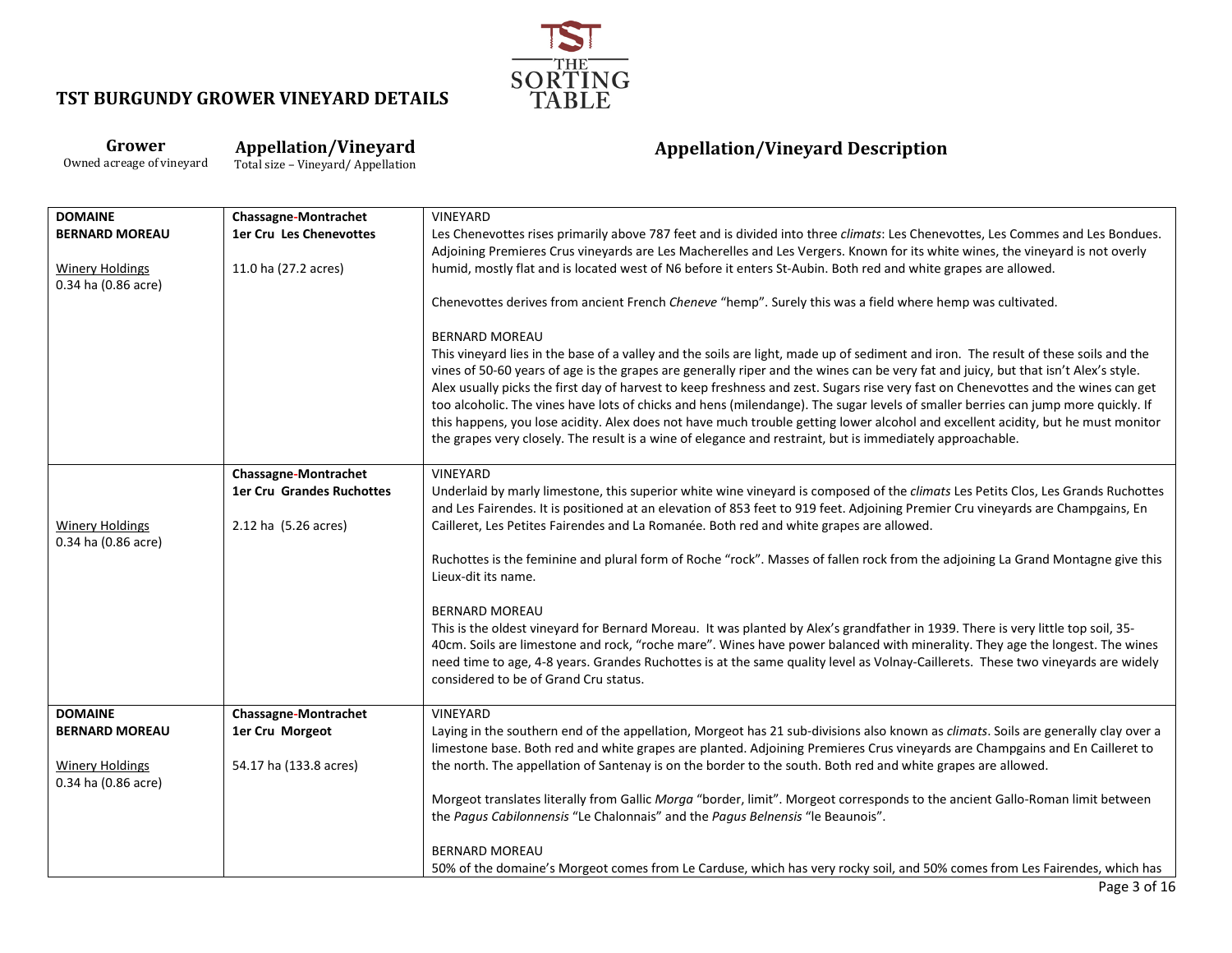

**Grower** Owned acreage of vineyard **Appellation/Vineyard**

Total size – Vineyard/ Appellation

| <b>DOMAINE</b>                                | <b>Chassagne-Montrachet</b>      | <b>VINEYARD</b>                                                                                                                                                                                                                                                                                                                                                                                                                                                                                                                                                                                                                                                                                                                                                                                                                 |
|-----------------------------------------------|----------------------------------|---------------------------------------------------------------------------------------------------------------------------------------------------------------------------------------------------------------------------------------------------------------------------------------------------------------------------------------------------------------------------------------------------------------------------------------------------------------------------------------------------------------------------------------------------------------------------------------------------------------------------------------------------------------------------------------------------------------------------------------------------------------------------------------------------------------------------------|
| <b>BERNARD MOREAU</b>                         | <b>1er Cru Les Chenevottes</b>   | Les Chenevottes rises primarily above 787 feet and is divided into three <i>climats</i> : Les Chenevottes, Les Commes and Les Bondues.                                                                                                                                                                                                                                                                                                                                                                                                                                                                                                                                                                                                                                                                                          |
|                                               |                                  | Adjoining Premieres Crus vineyards are Les Macherelles and Les Vergers. Known for its white wines, the vineyard is not overly                                                                                                                                                                                                                                                                                                                                                                                                                                                                                                                                                                                                                                                                                                   |
| <b>Winery Holdings</b><br>0.34 ha (0.86 acre) | 11.0 ha (27.2 acres)             | humid, mostly flat and is located west of N6 before it enters St-Aubin. Both red and white grapes are allowed.                                                                                                                                                                                                                                                                                                                                                                                                                                                                                                                                                                                                                                                                                                                  |
|                                               |                                  | Chenevottes derives from ancient French Cheneve "hemp". Surely this was a field where hemp was cultivated.                                                                                                                                                                                                                                                                                                                                                                                                                                                                                                                                                                                                                                                                                                                      |
|                                               |                                  | <b>BERNARD MOREAU</b><br>This vineyard lies in the base of a valley and the soils are light, made up of sediment and iron. The result of these soils and the<br>vines of 50-60 years of age is the grapes are generally riper and the wines can be very fat and juicy, but that isn't Alex's style.<br>Alex usually picks the first day of harvest to keep freshness and zest. Sugars rise very fast on Chenevottes and the wines can get<br>too alcoholic. The vines have lots of chicks and hens (milendange). The sugar levels of smaller berries can jump more quickly. If<br>this happens, you lose acidity. Alex does not have much trouble getting lower alcohol and excellent acidity, but he must monitor<br>the grapes very closely. The result is a wine of elegance and restraint, but is immediately approachable. |
|                                               | <b>Chassagne-Montrachet</b>      | VINEYARD                                                                                                                                                                                                                                                                                                                                                                                                                                                                                                                                                                                                                                                                                                                                                                                                                        |
|                                               | <b>1er Cru Grandes Ruchottes</b> | Underlaid by marly limestone, this superior white wine vineyard is composed of the climats Les Petits Clos, Les Grands Ruchottes                                                                                                                                                                                                                                                                                                                                                                                                                                                                                                                                                                                                                                                                                                |
|                                               |                                  | and Les Fairendes. It is positioned at an elevation of 853 feet to 919 feet. Adjoining Premier Cru vineyards are Champgains, En                                                                                                                                                                                                                                                                                                                                                                                                                                                                                                                                                                                                                                                                                                 |
| <b>Winery Holdings</b>                        | 2.12 ha (5.26 acres)             | Cailleret, Les Petites Fairendes and La Romanée. Both red and white grapes are allowed.                                                                                                                                                                                                                                                                                                                                                                                                                                                                                                                                                                                                                                                                                                                                         |
| 0.34 ha (0.86 acre)                           |                                  |                                                                                                                                                                                                                                                                                                                                                                                                                                                                                                                                                                                                                                                                                                                                                                                                                                 |
|                                               |                                  | Ruchottes is the feminine and plural form of Roche "rock". Masses of fallen rock from the adjoining La Grand Montagne give this<br>Lieux-dit its name.                                                                                                                                                                                                                                                                                                                                                                                                                                                                                                                                                                                                                                                                          |
|                                               |                                  |                                                                                                                                                                                                                                                                                                                                                                                                                                                                                                                                                                                                                                                                                                                                                                                                                                 |
|                                               |                                  | <b>BERNARD MOREAU</b>                                                                                                                                                                                                                                                                                                                                                                                                                                                                                                                                                                                                                                                                                                                                                                                                           |
|                                               |                                  | This is the oldest vineyard for Bernard Moreau. It was planted by Alex's grandfather in 1939. There is very little top soil, 35-                                                                                                                                                                                                                                                                                                                                                                                                                                                                                                                                                                                                                                                                                                |
|                                               |                                  | 40cm. Soils are limestone and rock, "roche mare". Wines have power balanced with minerality. They age the longest. The wines                                                                                                                                                                                                                                                                                                                                                                                                                                                                                                                                                                                                                                                                                                    |
|                                               |                                  | need time to age, 4-8 years. Grandes Ruchottes is at the same quality level as Volnay-Caillerets. These two vineyards are widely                                                                                                                                                                                                                                                                                                                                                                                                                                                                                                                                                                                                                                                                                                |
|                                               |                                  | considered to be of Grand Cru status.                                                                                                                                                                                                                                                                                                                                                                                                                                                                                                                                                                                                                                                                                                                                                                                           |
| <b>DOMAINE</b>                                | <b>Chassagne-Montrachet</b>      | <b>VINEYARD</b>                                                                                                                                                                                                                                                                                                                                                                                                                                                                                                                                                                                                                                                                                                                                                                                                                 |
| <b>BERNARD MOREAU</b>                         | 1er Cru Morgeot                  | Laying in the southern end of the appellation, Morgeot has 21 sub-divisions also known as climats. Soils are generally clay over a                                                                                                                                                                                                                                                                                                                                                                                                                                                                                                                                                                                                                                                                                              |
|                                               |                                  | limestone base. Both red and white grapes are planted. Adjoining Premieres Crus vineyards are Champgains and En Cailleret to                                                                                                                                                                                                                                                                                                                                                                                                                                                                                                                                                                                                                                                                                                    |
| <b>Winery Holdings</b>                        | 54.17 ha (133.8 acres)           | the north. The appellation of Santenay is on the border to the south. Both red and white grapes are allowed.                                                                                                                                                                                                                                                                                                                                                                                                                                                                                                                                                                                                                                                                                                                    |
| 0.34 ha (0.86 acre)                           |                                  |                                                                                                                                                                                                                                                                                                                                                                                                                                                                                                                                                                                                                                                                                                                                                                                                                                 |
|                                               |                                  | Morgeot translates literally from Gallic Morga "border, limit". Morgeot corresponds to the ancient Gallo-Roman limit between                                                                                                                                                                                                                                                                                                                                                                                                                                                                                                                                                                                                                                                                                                    |
|                                               |                                  | the Pagus Cabilonnensis "Le Chalonnais" and the Pagus Belnensis "le Beaunois".                                                                                                                                                                                                                                                                                                                                                                                                                                                                                                                                                                                                                                                                                                                                                  |
|                                               |                                  | <b>BERNARD MOREAU</b>                                                                                                                                                                                                                                                                                                                                                                                                                                                                                                                                                                                                                                                                                                                                                                                                           |
|                                               |                                  | 50% of the domaine's Morgeot comes from Le Carduse, which has very rocky soil, and 50% comes from Les Fairendes, which has                                                                                                                                                                                                                                                                                                                                                                                                                                                                                                                                                                                                                                                                                                      |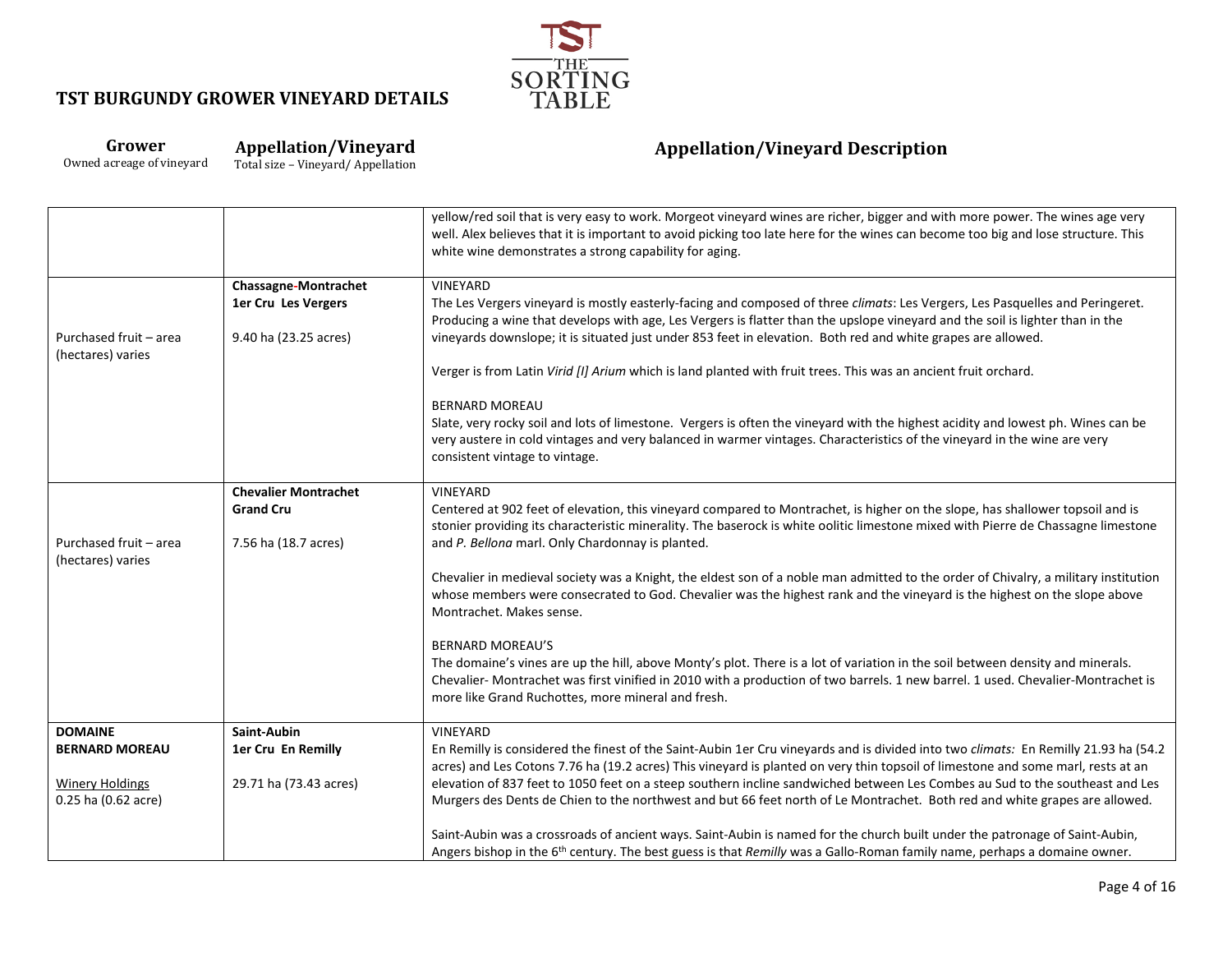

#### **Grower** Owned acreage of vineyard **Appellation/Vineyard**

Total size – Vineyard/ Appellation

|                                             |                             | yellow/red soil that is very easy to work. Morgeot vineyard wines are richer, bigger and with more power. The wines age very<br>well. Alex believes that it is important to avoid picking too late here for the wines can become too big and lose structure. This<br>white wine demonstrates a strong capability for aging. |
|---------------------------------------------|-----------------------------|-----------------------------------------------------------------------------------------------------------------------------------------------------------------------------------------------------------------------------------------------------------------------------------------------------------------------------|
|                                             | <b>Chassagne-Montrachet</b> | VINEYARD                                                                                                                                                                                                                                                                                                                    |
|                                             | 1er Cru Les Vergers         | The Les Vergers vineyard is mostly easterly-facing and composed of three climats: Les Vergers, Les Pasquelles and Peringeret.<br>Producing a wine that develops with age, Les Vergers is flatter than the upslope vineyard and the soil is lighter than in the                                                              |
| Purchased fruit - area<br>(hectares) varies | 9.40 ha (23.25 acres)       | vineyards downslope; it is situated just under 853 feet in elevation. Both red and white grapes are allowed.                                                                                                                                                                                                                |
|                                             |                             | Verger is from Latin Virid [I] Arium which is land planted with fruit trees. This was an ancient fruit orchard.                                                                                                                                                                                                             |
|                                             |                             | <b>BERNARD MOREAU</b>                                                                                                                                                                                                                                                                                                       |
|                                             |                             | Slate, very rocky soil and lots of limestone. Vergers is often the vineyard with the highest acidity and lowest ph. Wines can be<br>very austere in cold vintages and very balanced in warmer vintages. Characteristics of the vineyard in the wine are very<br>consistent vintage to vintage.                              |
|                                             | <b>Chevalier Montrachet</b> | VINEYARD                                                                                                                                                                                                                                                                                                                    |
|                                             | <b>Grand Cru</b>            | Centered at 902 feet of elevation, this vineyard compared to Montrachet, is higher on the slope, has shallower topsoil and is<br>stonier providing its characteristic minerality. The baserock is white oolitic limestone mixed with Pierre de Chassagne limestone                                                          |
| Purchased fruit - area<br>(hectares) varies | 7.56 ha (18.7 acres)        | and P. Bellona marl. Only Chardonnay is planted.                                                                                                                                                                                                                                                                            |
|                                             |                             | Chevalier in medieval society was a Knight, the eldest son of a noble man admitted to the order of Chivalry, a military institution<br>whose members were consecrated to God. Chevalier was the highest rank and the vineyard is the highest on the slope above<br>Montrachet. Makes sense.                                 |
|                                             |                             | <b>BERNARD MOREAU'S</b>                                                                                                                                                                                                                                                                                                     |
|                                             |                             | The domaine's vines are up the hill, above Monty's plot. There is a lot of variation in the soil between density and minerals.<br>Chevalier-Montrachet was first vinified in 2010 with a production of two barrels. 1 new barrel. 1 used. Chevalier-Montrachet is                                                           |
|                                             |                             | more like Grand Ruchottes, more mineral and fresh.                                                                                                                                                                                                                                                                          |
| <b>DOMAINE</b>                              | Saint-Aubin                 | VINEYARD                                                                                                                                                                                                                                                                                                                    |
| <b>BERNARD MOREAU</b>                       | 1er Cru En Remilly          | En Remilly is considered the finest of the Saint-Aubin 1er Cru vineyards and is divided into two climats: En Remilly 21.93 ha (54.2<br>acres) and Les Cotons 7.76 ha (19.2 acres) This vineyard is planted on very thin topsoil of limestone and some marl, rests at an                                                     |
| <b>Winery Holdings</b>                      | 29.71 ha (73.43 acres)      | elevation of 837 feet to 1050 feet on a steep southern incline sandwiched between Les Combes au Sud to the southeast and Les                                                                                                                                                                                                |
| 0.25 ha (0.62 acre)                         |                             | Murgers des Dents de Chien to the northwest and but 66 feet north of Le Montrachet. Both red and white grapes are allowed.                                                                                                                                                                                                  |
|                                             |                             | Saint-Aubin was a crossroads of ancient ways. Saint-Aubin is named for the church built under the patronage of Saint-Aubin,<br>Angers bishop in the 6 <sup>th</sup> century. The best guess is that Remilly was a Gallo-Roman family name, perhaps a domaine owner.                                                         |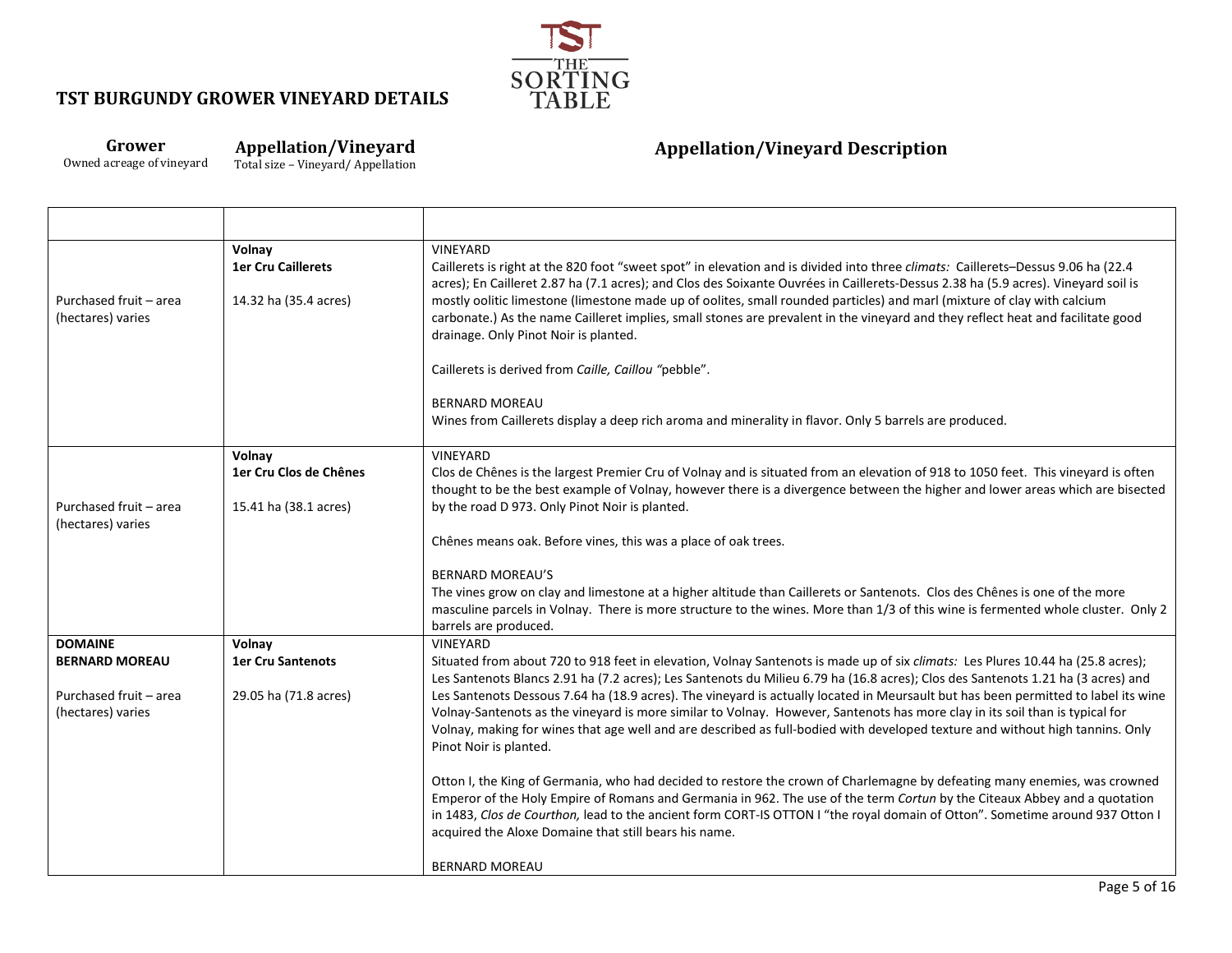

## **Grower**

┯

Owned acreage of vineyard

**Appellation/Vineyard** Total size – Vineyard/ Appellation

| Purchased fruit - area<br>(hectares) varies                          | Volnay<br><b>1er Cru Caillerets</b><br>14.32 ha (35.4 acres) | <b>VINEYARD</b><br>Caillerets is right at the 820 foot "sweet spot" in elevation and is divided into three climats: Caillerets-Dessus 9.06 ha (22.4<br>acres); En Cailleret 2.87 ha (7.1 acres); and Clos des Soixante Ouvrées in Caillerets-Dessus 2.38 ha (5.9 acres). Vineyard soil is<br>mostly oolitic limestone (limestone made up of oolites, small rounded particles) and marl (mixture of clay with calcium<br>carbonate.) As the name Cailleret implies, small stones are prevalent in the vineyard and they reflect heat and facilitate good<br>drainage. Only Pinot Noir is planted.                                                                                                     |
|----------------------------------------------------------------------|--------------------------------------------------------------|------------------------------------------------------------------------------------------------------------------------------------------------------------------------------------------------------------------------------------------------------------------------------------------------------------------------------------------------------------------------------------------------------------------------------------------------------------------------------------------------------------------------------------------------------------------------------------------------------------------------------------------------------------------------------------------------------|
|                                                                      |                                                              | Caillerets is derived from Caille, Caillou "pebble".                                                                                                                                                                                                                                                                                                                                                                                                                                                                                                                                                                                                                                                 |
|                                                                      |                                                              | <b>BERNARD MOREAU</b><br>Wines from Caillerets display a deep rich aroma and minerality in flavor. Only 5 barrels are produced.                                                                                                                                                                                                                                                                                                                                                                                                                                                                                                                                                                      |
|                                                                      | Volnay                                                       | VINEYARD                                                                                                                                                                                                                                                                                                                                                                                                                                                                                                                                                                                                                                                                                             |
|                                                                      | 1er Cru Clos de Chênes                                       | Clos de Chênes is the largest Premier Cru of Volnay and is situated from an elevation of 918 to 1050 feet. This vineyard is often<br>thought to be the best example of Volnay, however there is a divergence between the higher and lower areas which are bisected                                                                                                                                                                                                                                                                                                                                                                                                                                   |
| Purchased fruit - area<br>(hectares) varies                          | 15.41 ha (38.1 acres)                                        | by the road D 973. Only Pinot Noir is planted.                                                                                                                                                                                                                                                                                                                                                                                                                                                                                                                                                                                                                                                       |
|                                                                      |                                                              | Chênes means oak. Before vines, this was a place of oak trees.                                                                                                                                                                                                                                                                                                                                                                                                                                                                                                                                                                                                                                       |
|                                                                      |                                                              | <b>BERNARD MOREAU'S</b><br>The vines grow on clay and limestone at a higher altitude than Caillerets or Santenots. Clos des Chênes is one of the more<br>masculine parcels in Volnay. There is more structure to the wines. More than 1/3 of this wine is fermented whole cluster. Only 2<br>barrels are produced.                                                                                                                                                                                                                                                                                                                                                                                   |
| <b>DOMAINE</b>                                                       | Volnay                                                       | VINEYARD                                                                                                                                                                                                                                                                                                                                                                                                                                                                                                                                                                                                                                                                                             |
| <b>BERNARD MOREAU</b><br>Purchased fruit - area<br>(hectares) varies | <b>1er Cru Santenots</b><br>29.05 ha (71.8 acres)            | Situated from about 720 to 918 feet in elevation, Volnay Santenots is made up of six climats: Les Plures 10.44 ha (25.8 acres);<br>Les Santenots Blancs 2.91 ha (7.2 acres); Les Santenots du Milieu 6.79 ha (16.8 acres); Clos des Santenots 1.21 ha (3 acres) and<br>Les Santenots Dessous 7.64 ha (18.9 acres). The vineyard is actually located in Meursault but has been permitted to label its wine<br>Volnay-Santenots as the vineyard is more similar to Volnay. However, Santenots has more clay in its soil than is typical for<br>Volnay, making for wines that age well and are described as full-bodied with developed texture and without high tannins. Only<br>Pinot Noir is planted. |
|                                                                      |                                                              | Otton I, the King of Germania, who had decided to restore the crown of Charlemagne by defeating many enemies, was crowned<br>Emperor of the Holy Empire of Romans and Germania in 962. The use of the term Cortun by the Citeaux Abbey and a quotation<br>in 1483, Clos de Courthon, lead to the ancient form CORT-IS OTTON I "the royal domain of Otton". Sometime around 937 Otton I<br>acquired the Aloxe Domaine that still bears his name.                                                                                                                                                                                                                                                      |
|                                                                      |                                                              | <b>BERNARD MOREAU</b>                                                                                                                                                                                                                                                                                                                                                                                                                                                                                                                                                                                                                                                                                |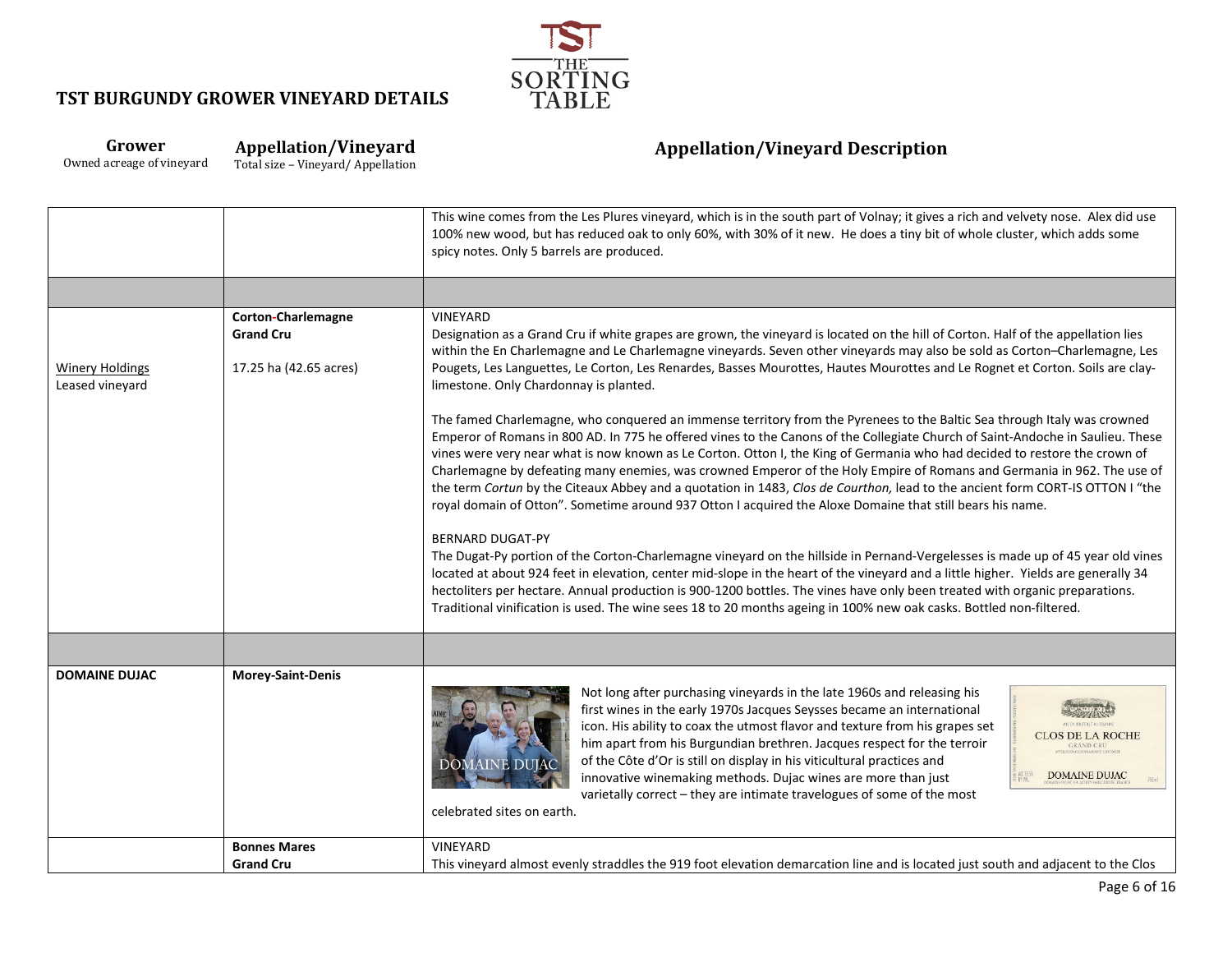

### **Grower** Owned acreage of vineyard

**Appellation/Vineyard** Total size – Vineyard/ Appellation

|                                           |                                                                  | This wine comes from the Les Plures vineyard, which is in the south part of Volnay; it gives a rich and velvety nose. Alex did use<br>100% new wood, but has reduced oak to only 60%, with 30% of it new. He does a tiny bit of whole cluster, which adds some<br>spicy notes. Only 5 barrels are produced.                                                                                                                                                                                                                                                                                                                                                                                                                                                      |
|-------------------------------------------|------------------------------------------------------------------|------------------------------------------------------------------------------------------------------------------------------------------------------------------------------------------------------------------------------------------------------------------------------------------------------------------------------------------------------------------------------------------------------------------------------------------------------------------------------------------------------------------------------------------------------------------------------------------------------------------------------------------------------------------------------------------------------------------------------------------------------------------|
|                                           |                                                                  |                                                                                                                                                                                                                                                                                                                                                                                                                                                                                                                                                                                                                                                                                                                                                                  |
| <b>Winery Holdings</b><br>Leased vineyard | Corton-Charlemagne<br><b>Grand Cru</b><br>17.25 ha (42.65 acres) | VINEYARD<br>Designation as a Grand Cru if white grapes are grown, the vineyard is located on the hill of Corton. Half of the appellation lies<br>within the En Charlemagne and Le Charlemagne vineyards. Seven other vineyards may also be sold as Corton-Charlemagne, Les<br>Pougets, Les Languettes, Le Corton, Les Renardes, Basses Mourottes, Hautes Mourottes and Le Rognet et Corton. Soils are clay-<br>limestone. Only Chardonnay is planted.                                                                                                                                                                                                                                                                                                            |
|                                           |                                                                  | The famed Charlemagne, who conquered an immense territory from the Pyrenees to the Baltic Sea through Italy was crowned<br>Emperor of Romans in 800 AD. In 775 he offered vines to the Canons of the Collegiate Church of Saint-Andoche in Saulieu. These<br>vines were very near what is now known as Le Corton. Otton I, the King of Germania who had decided to restore the crown of<br>Charlemagne by defeating many enemies, was crowned Emperor of the Holy Empire of Romans and Germania in 962. The use of<br>the term Cortun by the Citeaux Abbey and a quotation in 1483, Clos de Courthon, lead to the ancient form CORT-IS OTTON I "the<br>royal domain of Otton". Sometime around 937 Otton I acquired the Aloxe Domaine that still bears his name. |
|                                           |                                                                  | <b>BERNARD DUGAT-PY</b><br>The Dugat-Py portion of the Corton-Charlemagne vineyard on the hillside in Pernand-Vergelesses is made up of 45 year old vines<br>located at about 924 feet in elevation, center mid-slope in the heart of the vineyard and a little higher. Yields are generally 34<br>hectoliters per hectare. Annual production is 900-1200 bottles. The vines have only been treated with organic preparations.<br>Traditional vinification is used. The wine sees 18 to 20 months ageing in 100% new oak casks. Bottled non-filtered.                                                                                                                                                                                                            |
|                                           |                                                                  |                                                                                                                                                                                                                                                                                                                                                                                                                                                                                                                                                                                                                                                                                                                                                                  |
| <b>DOMAINE DUJAC</b>                      | Morey-Saint-Denis                                                | Not long after purchasing vineyards in the late 1960s and releasing his<br>first wines in the early 1970s Jacques Seysses became an international<br>icon. His ability to coax the utmost flavor and texture from his grapes set<br><b>CLOS DE LA ROCHE</b><br>him apart from his Burgundian brethren. Jacques respect for the terroir<br><b>GRAND CRU</b><br>of the Côte d'Or is still on display in his viticultural practices and<br><b>DOMAINE DUJAC</b><br><b>DOMAINE DUJAC</b><br>innovative winemaking methods. Dujac wines are more than just<br>varietally correct - they are intimate travelogues of some of the most<br>celebrated sites on earth.                                                                                                    |
|                                           | <b>Bonnes Mares</b>                                              | VINEYARD                                                                                                                                                                                                                                                                                                                                                                                                                                                                                                                                                                                                                                                                                                                                                         |
|                                           | <b>Grand Cru</b>                                                 | This vineyard almost evenly straddles the 919 foot elevation demarcation line and is located just south and adjacent to the Clos                                                                                                                                                                                                                                                                                                                                                                                                                                                                                                                                                                                                                                 |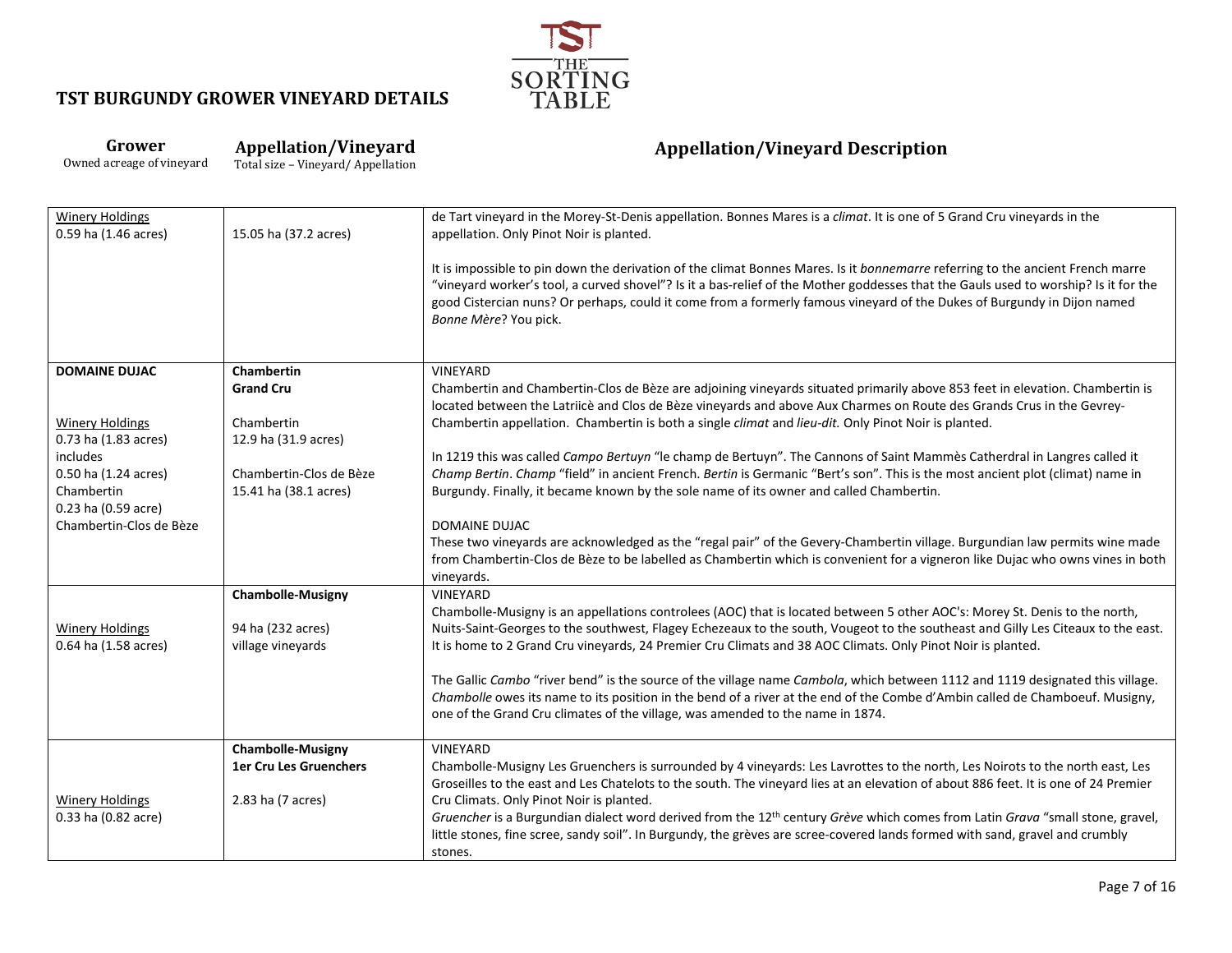

### **Grower** Owned acreage of vineyard

**Appellation/Vineyard**

Total size – Vineyard/ Appellation

| <b>Winery Holdings</b><br>0.59 ha (1.46 acres) | 15.05 ha (37.2 acres)    | de Tart vineyard in the Morey-St-Denis appellation. Bonnes Mares is a climat. It is one of 5 Grand Cru vineyards in the<br>appellation. Only Pinot Noir is planted.                                                                                                                                                                                                                                                       |
|------------------------------------------------|--------------------------|---------------------------------------------------------------------------------------------------------------------------------------------------------------------------------------------------------------------------------------------------------------------------------------------------------------------------------------------------------------------------------------------------------------------------|
|                                                |                          | It is impossible to pin down the derivation of the climat Bonnes Mares. Is it bonnemarre referring to the ancient French marre<br>"vineyard worker's tool, a curved shovel"? Is it a bas-relief of the Mother goddesses that the Gauls used to worship? Is it for the<br>good Cistercian nuns? Or perhaps, could it come from a formerly famous vineyard of the Dukes of Burgundy in Dijon named<br>Bonne Mère? You pick. |
| <b>DOMAINE DUJAC</b>                           | <b>Chambertin</b>        | <b>VINEYARD</b>                                                                                                                                                                                                                                                                                                                                                                                                           |
|                                                | <b>Grand Cru</b>         | Chambertin and Chambertin-Clos de Bèze are adjoining vineyards situated primarily above 853 feet in elevation. Chambertin is<br>located between the Latriicè and Clos de Bèze vineyards and above Aux Charmes on Route des Grands Crus in the Gevrey-                                                                                                                                                                     |
| <b>Winery Holdings</b>                         | Chambertin               | Chambertin appellation. Chambertin is both a single climat and lieu-dit. Only Pinot Noir is planted.                                                                                                                                                                                                                                                                                                                      |
| 0.73 ha (1.83 acres)                           | 12.9 ha (31.9 acres)     |                                                                                                                                                                                                                                                                                                                                                                                                                           |
| includes<br>0.50 ha (1.24 acres)               | Chambertin-Clos de Bèze  | In 1219 this was called Campo Bertuyn "le champ de Bertuyn". The Cannons of Saint Mammès Catherdral in Langres called it<br>Champ Bertin. Champ "field" in ancient French. Bertin is Germanic "Bert's son". This is the most ancient plot (climat) name in                                                                                                                                                                |
| Chambertin                                     | 15.41 ha (38.1 acres)    | Burgundy. Finally, it became known by the sole name of its owner and called Chambertin.                                                                                                                                                                                                                                                                                                                                   |
| 0.23 ha (0.59 acre)                            |                          |                                                                                                                                                                                                                                                                                                                                                                                                                           |
| Chambertin-Clos de Bèze                        |                          | <b>DOMAINE DUJAC</b>                                                                                                                                                                                                                                                                                                                                                                                                      |
|                                                |                          | These two vineyards are acknowledged as the "regal pair" of the Gevery-Chambertin village. Burgundian law permits wine made<br>from Chambertin-Clos de Bèze to be labelled as Chambertin which is convenient for a vigneron like Dujac who owns vines in both<br>vineyards.                                                                                                                                               |
|                                                | <b>Chambolle-Musigny</b> | VINEYARD                                                                                                                                                                                                                                                                                                                                                                                                                  |
|                                                |                          | Chambolle-Musigny is an appellations controlees (AOC) that is located between 5 other AOC's: Morey St. Denis to the north,                                                                                                                                                                                                                                                                                                |
| <b>Winery Holdings</b>                         | 94 ha (232 acres)        | Nuits-Saint-Georges to the southwest, Flagey Echezeaux to the south, Vougeot to the southeast and Gilly Les Citeaux to the east.                                                                                                                                                                                                                                                                                          |
| 0.64 ha (1.58 acres)                           | village vineyards        | It is home to 2 Grand Cru vineyards, 24 Premier Cru Climats and 38 AOC Climats. Only Pinot Noir is planted.                                                                                                                                                                                                                                                                                                               |
|                                                |                          | The Gallic Cambo "river bend" is the source of the village name Cambola, which between 1112 and 1119 designated this village.                                                                                                                                                                                                                                                                                             |
|                                                |                          | Chambolle owes its name to its position in the bend of a river at the end of the Combe d'Ambin called de Chamboeuf. Musigny,                                                                                                                                                                                                                                                                                              |
|                                                |                          | one of the Grand Cru climates of the village, was amended to the name in 1874.                                                                                                                                                                                                                                                                                                                                            |
|                                                | <b>Chambolle-Musigny</b> | VINEYARD                                                                                                                                                                                                                                                                                                                                                                                                                  |
|                                                | 1er Cru Les Gruenchers   | Chambolle-Musigny Les Gruenchers is surrounded by 4 vineyards: Les Lavrottes to the north, Les Noirots to the north east, Les                                                                                                                                                                                                                                                                                             |
|                                                |                          | Groseilles to the east and Les Chatelots to the south. The vineyard lies at an elevation of about 886 feet. It is one of 24 Premier                                                                                                                                                                                                                                                                                       |
| <b>Winery Holdings</b>                         | 2.83 ha (7 acres)        | Cru Climats. Only Pinot Noir is planted.<br>Gruencher is a Burgundian dialect word derived from the 12 <sup>th</sup> century Grève which comes from Latin Grava "small stone, gravel,                                                                                                                                                                                                                                     |
| 0.33 ha (0.82 acre)                            |                          | little stones, fine scree, sandy soil". In Burgundy, the grèves are scree-covered lands formed with sand, gravel and crumbly                                                                                                                                                                                                                                                                                              |
|                                                |                          | stones.                                                                                                                                                                                                                                                                                                                                                                                                                   |
|                                                |                          |                                                                                                                                                                                                                                                                                                                                                                                                                           |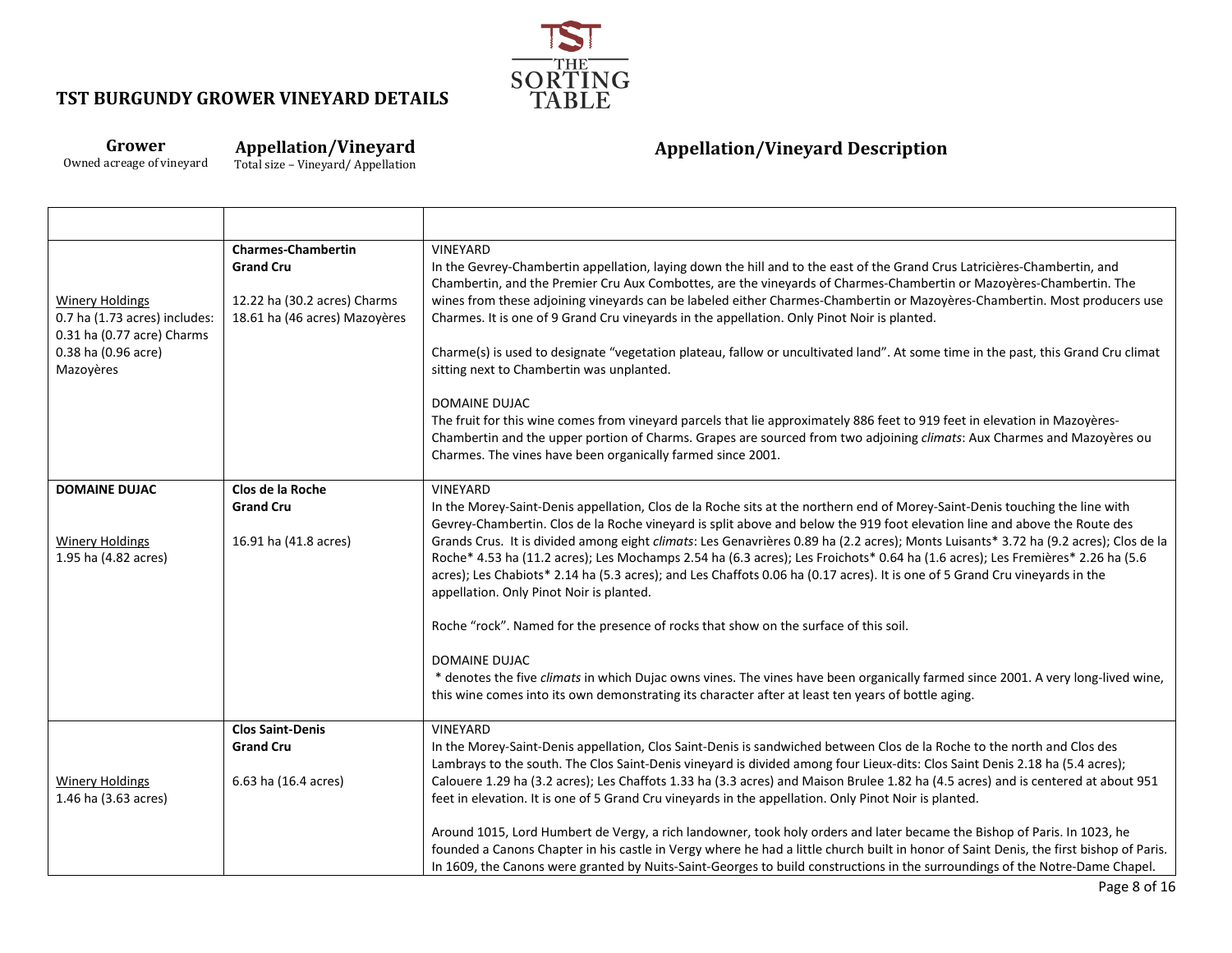

### **Grower** Owned acreage of vineyard

**Appellation/Vineyard**

Total size – Vineyard/ Appellation

┯

| <b>Winery Holdings</b><br>0.7 ha (1.73 acres) includes:<br>0.31 ha (0.77 acre) Charms<br>0.38 ha (0.96 acre)<br>Mazoyères | <b>Charmes-Chambertin</b><br><b>Grand Cru</b><br>12.22 ha (30.2 acres) Charms<br>18.61 ha (46 acres) Mazoyères | VINEYARD<br>In the Gevrey-Chambertin appellation, laying down the hill and to the east of the Grand Crus Latricières-Chambertin, and<br>Chambertin, and the Premier Cru Aux Combottes, are the vineyards of Charmes-Chambertin or Mazoyères-Chambertin. The<br>wines from these adjoining vineyards can be labeled either Charmes-Chambertin or Mazoyères-Chambertin. Most producers use<br>Charmes. It is one of 9 Grand Cru vineyards in the appellation. Only Pinot Noir is planted.<br>Charme(s) is used to designate "vegetation plateau, fallow or uncultivated land". At some time in the past, this Grand Cru climat<br>sitting next to Chambertin was unplanted.<br>DOMAINE DUJAC<br>The fruit for this wine comes from vineyard parcels that lie approximately 886 feet to 919 feet in elevation in Mazoyères-<br>Chambertin and the upper portion of Charms. Grapes are sourced from two adjoining climats: Aux Charmes and Mazoyères ou                                                                                                                                 |
|---------------------------------------------------------------------------------------------------------------------------|----------------------------------------------------------------------------------------------------------------|-------------------------------------------------------------------------------------------------------------------------------------------------------------------------------------------------------------------------------------------------------------------------------------------------------------------------------------------------------------------------------------------------------------------------------------------------------------------------------------------------------------------------------------------------------------------------------------------------------------------------------------------------------------------------------------------------------------------------------------------------------------------------------------------------------------------------------------------------------------------------------------------------------------------------------------------------------------------------------------------------------------------------------------------------------------------------------------|
|                                                                                                                           |                                                                                                                | Charmes. The vines have been organically farmed since 2001.                                                                                                                                                                                                                                                                                                                                                                                                                                                                                                                                                                                                                                                                                                                                                                                                                                                                                                                                                                                                                         |
| <b>DOMAINE DUJAC</b><br><b>Winery Holdings</b><br>1.95 ha (4.82 acres)                                                    | Clos de la Roche<br><b>Grand Cru</b><br>16.91 ha (41.8 acres)                                                  | VINEYARD<br>In the Morey-Saint-Denis appellation, Clos de la Roche sits at the northern end of Morey-Saint-Denis touching the line with<br>Gevrey-Chambertin. Clos de la Roche vineyard is split above and below the 919 foot elevation line and above the Route des<br>Grands Crus. It is divided among eight climats: Les Genavrières 0.89 ha (2.2 acres); Monts Luisants* 3.72 ha (9.2 acres); Clos de la<br>Roche* 4.53 ha (11.2 acres); Les Mochamps 2.54 ha (6.3 acres); Les Froichots* 0.64 ha (1.6 acres); Les Fremières* 2.26 ha (5.6<br>acres); Les Chabiots* 2.14 ha (5.3 acres); and Les Chaffots 0.06 ha (0.17 acres). It is one of 5 Grand Cru vineyards in the<br>appellation. Only Pinot Noir is planted.<br>Roche "rock". Named for the presence of rocks that show on the surface of this soil.<br><b>DOMAINE DUJAC</b><br>* denotes the five climats in which Dujac owns vines. The vines have been organically farmed since 2001. A very long-lived wine,<br>this wine comes into its own demonstrating its character after at least ten years of bottle aging. |
| <b>Winery Holdings</b><br>1.46 ha (3.63 acres)                                                                            | <b>Clos Saint-Denis</b><br><b>Grand Cru</b><br>6.63 ha (16.4 acres)                                            | <b>VINEYARD</b><br>In the Morey-Saint-Denis appellation, Clos Saint-Denis is sandwiched between Clos de la Roche to the north and Clos des<br>Lambrays to the south. The Clos Saint-Denis vineyard is divided among four Lieux-dits: Clos Saint Denis 2.18 ha (5.4 acres);<br>Calouere 1.29 ha (3.2 acres); Les Chaffots 1.33 ha (3.3 acres) and Maison Brulee 1.82 ha (4.5 acres) and is centered at about 951<br>feet in elevation. It is one of 5 Grand Cru vineyards in the appellation. Only Pinot Noir is planted.<br>Around 1015, Lord Humbert de Vergy, a rich landowner, took holy orders and later became the Bishop of Paris. In 1023, he                                                                                                                                                                                                                                                                                                                                                                                                                                |
|                                                                                                                           |                                                                                                                | founded a Canons Chapter in his castle in Vergy where he had a little church built in honor of Saint Denis, the first bishop of Paris.<br>In 1609, the Canons were granted by Nuits-Saint-Georges to build constructions in the surroundings of the Notre-Dame Chapel.                                                                                                                                                                                                                                                                                                                                                                                                                                                                                                                                                                                                                                                                                                                                                                                                              |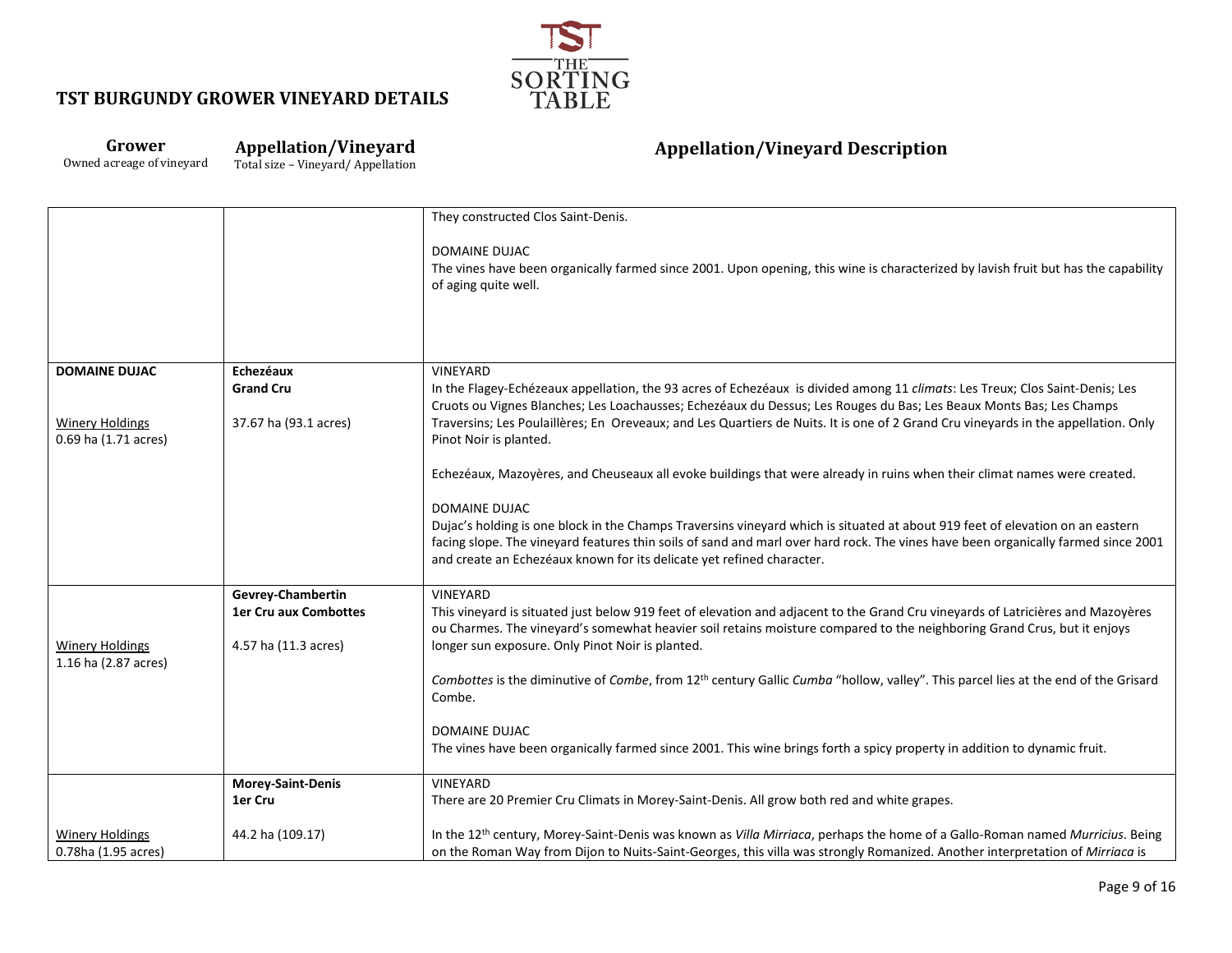

#### **Grower** Owned acreage of vineyard **Appellation/Vineyard** Total size – Vineyard/ Appellation

|                                               |                          | They constructed Clos Saint-Denis.<br><b>DOMAINE DUJAC</b><br>The vines have been organically farmed since 2001. Upon opening, this wine is characterized by lavish fruit but has the capability<br>of aging quite well.                                                                                                                    |
|-----------------------------------------------|--------------------------|---------------------------------------------------------------------------------------------------------------------------------------------------------------------------------------------------------------------------------------------------------------------------------------------------------------------------------------------|
|                                               |                          |                                                                                                                                                                                                                                                                                                                                             |
| <b>DOMAINE DUJAC</b>                          | Echezéaux                | <b>VINEYARD</b>                                                                                                                                                                                                                                                                                                                             |
|                                               | <b>Grand Cru</b>         | In the Flagey-Echézeaux appellation, the 93 acres of Echezéaux is divided among 11 climats: Les Treux; Clos Saint-Denis; Les                                                                                                                                                                                                                |
| <b>Winery Holdings</b>                        | 37.67 ha (93.1 acres)    | Cruots ou Vignes Blanches; Les Loachausses; Echezéaux du Dessus; Les Rouges du Bas; Les Beaux Monts Bas; Les Champs<br>Traversins; Les Poulaillères; En Oreveaux; and Les Quartiers de Nuits. It is one of 2 Grand Cru vineyards in the appellation. Only                                                                                   |
| 0.69 ha (1.71 acres)                          |                          | Pinot Noir is planted.                                                                                                                                                                                                                                                                                                                      |
|                                               |                          | Echezéaux, Mazoyères, and Cheuseaux all evoke buildings that were already in ruins when their climat names were created.                                                                                                                                                                                                                    |
|                                               |                          | <b>DOMAINE DUJAC</b>                                                                                                                                                                                                                                                                                                                        |
|                                               |                          | Dujac's holding is one block in the Champs Traversins vineyard which is situated at about 919 feet of elevation on an eastern<br>facing slope. The vineyard features thin soils of sand and marl over hard rock. The vines have been organically farmed since 2001<br>and create an Echezéaux known for its delicate yet refined character. |
|                                               | Gevrey-Chambertin        | VINEYARD                                                                                                                                                                                                                                                                                                                                    |
|                                               | 1er Cru aux Combottes    | This vineyard is situated just below 919 feet of elevation and adjacent to the Grand Cru vineyards of Latricières and Mazoyères<br>ou Charmes. The vineyard's somewhat heavier soil retains moisture compared to the neighboring Grand Crus, but it enjoys                                                                                  |
| <b>Winery Holdings</b>                        | 4.57 ha (11.3 acres)     | longer sun exposure. Only Pinot Noir is planted.                                                                                                                                                                                                                                                                                            |
| 1.16 ha (2.87 acres)                          |                          | Combottes is the diminutive of Combe, from 12 <sup>th</sup> century Gallic Cumba "hollow, valley". This parcel lies at the end of the Grisard<br>Combe.                                                                                                                                                                                     |
|                                               |                          | <b>DOMAINE DUJAC</b>                                                                                                                                                                                                                                                                                                                        |
|                                               |                          | The vines have been organically farmed since 2001. This wine brings forth a spicy property in addition to dynamic fruit.                                                                                                                                                                                                                    |
|                                               | <b>Morey-Saint-Denis</b> | <b>VINEYARD</b>                                                                                                                                                                                                                                                                                                                             |
|                                               | 1er Cru                  | There are 20 Premier Cru Climats in Morey-Saint-Denis. All grow both red and white grapes.                                                                                                                                                                                                                                                  |
| <b>Winery Holdings</b><br>0.78ha (1.95 acres) | 44.2 ha (109.17)         | In the 12th century, Morey-Saint-Denis was known as Villa Mirriaca, perhaps the home of a Gallo-Roman named Murricius. Being<br>on the Roman Way from Dijon to Nuits-Saint-Georges, this villa was strongly Romanized. Another interpretation of Mirriaca is                                                                                |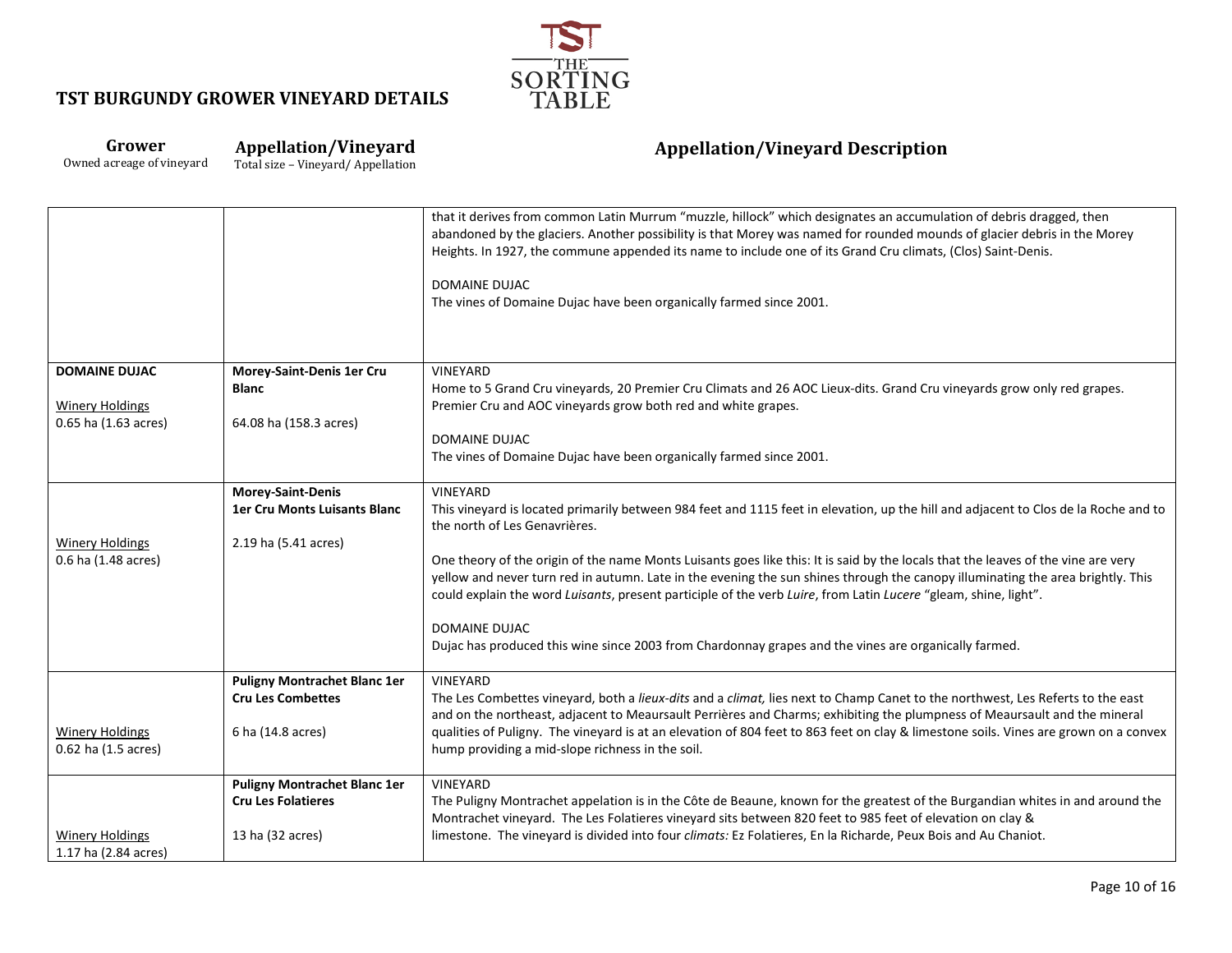

| Grower                    | <b>Appellation/Vineyard</b>       |
|---------------------------|-----------------------------------|
| Owned acreage of vineyard | Total size - Vineyard/Appellation |

|                        |                                     | that it derives from common Latin Murrum "muzzle, hillock" which designates an accumulation of debris dragged, then<br>abandoned by the glaciers. Another possibility is that Morey was named for rounded mounds of glacier debris in the Morey<br>Heights. In 1927, the commune appended its name to include one of its Grand Cru climats, (Clos) Saint-Denis.<br><b>DOMAINE DUJAC</b><br>The vines of Domaine Dujac have been organically farmed since 2001. |
|------------------------|-------------------------------------|----------------------------------------------------------------------------------------------------------------------------------------------------------------------------------------------------------------------------------------------------------------------------------------------------------------------------------------------------------------------------------------------------------------------------------------------------------------|
| <b>DOMAINE DUJAC</b>   | Morey-Saint-Denis 1er Cru           | VINEYARD                                                                                                                                                                                                                                                                                                                                                                                                                                                       |
|                        | <b>Blanc</b>                        | Home to 5 Grand Cru vineyards, 20 Premier Cru Climats and 26 AOC Lieux-dits. Grand Cru vineyards grow only red grapes.                                                                                                                                                                                                                                                                                                                                         |
| <b>Winery Holdings</b> |                                     | Premier Cru and AOC vineyards grow both red and white grapes.                                                                                                                                                                                                                                                                                                                                                                                                  |
| 0.65 ha (1.63 acres)   | 64.08 ha (158.3 acres)              |                                                                                                                                                                                                                                                                                                                                                                                                                                                                |
|                        |                                     | DOMAINE DUJAC                                                                                                                                                                                                                                                                                                                                                                                                                                                  |
|                        |                                     | The vines of Domaine Dujac have been organically farmed since 2001.                                                                                                                                                                                                                                                                                                                                                                                            |
|                        | <b>Morey-Saint-Denis</b>            | <b>VINEYARD</b>                                                                                                                                                                                                                                                                                                                                                                                                                                                |
|                        | <b>1er Cru Monts Luisants Blanc</b> | This vineyard is located primarily between 984 feet and 1115 feet in elevation, up the hill and adjacent to Clos de la Roche and to                                                                                                                                                                                                                                                                                                                            |
|                        |                                     | the north of Les Genavrières.                                                                                                                                                                                                                                                                                                                                                                                                                                  |
| <b>Winery Holdings</b> | 2.19 ha (5.41 acres)                |                                                                                                                                                                                                                                                                                                                                                                                                                                                                |
| 0.6 ha (1.48 acres)    |                                     | One theory of the origin of the name Monts Luisants goes like this: It is said by the locals that the leaves of the vine are very                                                                                                                                                                                                                                                                                                                              |
|                        |                                     | yellow and never turn red in autumn. Late in the evening the sun shines through the canopy illuminating the area brightly. This<br>could explain the word Luisants, present participle of the verb Luire, from Latin Lucere "gleam, shine, light".                                                                                                                                                                                                             |
|                        |                                     | <b>DOMAINE DUJAC</b>                                                                                                                                                                                                                                                                                                                                                                                                                                           |
|                        |                                     | Dujac has produced this wine since 2003 from Chardonnay grapes and the vines are organically farmed.                                                                                                                                                                                                                                                                                                                                                           |
|                        |                                     |                                                                                                                                                                                                                                                                                                                                                                                                                                                                |
|                        | <b>Puligny Montrachet Blanc 1er</b> | <b>VINEYARD</b>                                                                                                                                                                                                                                                                                                                                                                                                                                                |
|                        | <b>Cru Les Combettes</b>            | The Les Combettes vineyard, both a lieux-dits and a climat, lies next to Champ Canet to the northwest, Les Referts to the east                                                                                                                                                                                                                                                                                                                                 |
|                        |                                     | and on the northeast, adjacent to Meaursault Perrières and Charms; exhibiting the plumpness of Meaursault and the mineral                                                                                                                                                                                                                                                                                                                                      |
| <b>Winery Holdings</b> | 6 ha (14.8 acres)                   | qualities of Puligny. The vineyard is at an elevation of 804 feet to 863 feet on clay & limestone soils. Vines are grown on a convex                                                                                                                                                                                                                                                                                                                           |
| 0.62 ha (1.5 acres)    |                                     | hump providing a mid-slope richness in the soil.                                                                                                                                                                                                                                                                                                                                                                                                               |
|                        | <b>Puligny Montrachet Blanc 1er</b> | VINEYARD                                                                                                                                                                                                                                                                                                                                                                                                                                                       |
|                        | <b>Cru Les Folatieres</b>           | The Puligny Montrachet appelation is in the Côte de Beaune, known for the greatest of the Burgandian whites in and around the                                                                                                                                                                                                                                                                                                                                  |
|                        |                                     | Montrachet vineyard. The Les Folatieres vineyard sits between 820 feet to 985 feet of elevation on clay &                                                                                                                                                                                                                                                                                                                                                      |
| <b>Winery Holdings</b> | 13 ha (32 acres)                    | limestone. The vineyard is divided into four climats: Ez Folatieres, En la Richarde, Peux Bois and Au Chaniot.                                                                                                                                                                                                                                                                                                                                                 |
| 1.17 ha (2.84 acres)   |                                     |                                                                                                                                                                                                                                                                                                                                                                                                                                                                |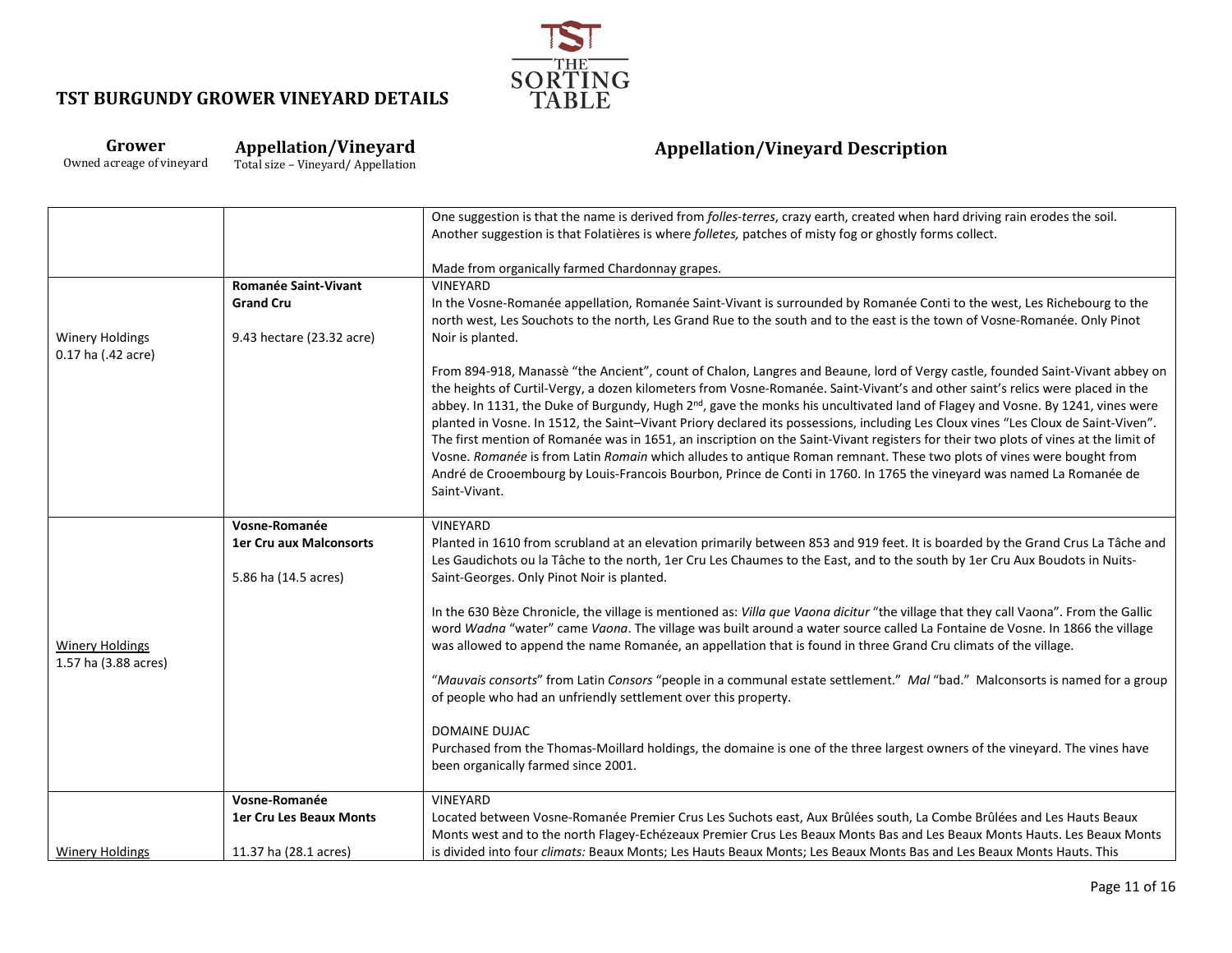

# **Grower**

Owned acreage of vineyard

**Appellation/Vineyard** Total size – Vineyard/ Appellation

|                        |                                | One suggestion is that the name is derived from folles-terres, crazy earth, created when hard driving rain erodes the soil.                                                                                                                                                      |
|------------------------|--------------------------------|----------------------------------------------------------------------------------------------------------------------------------------------------------------------------------------------------------------------------------------------------------------------------------|
|                        |                                | Another suggestion is that Folatières is where folletes, patches of misty fog or ghostly forms collect.                                                                                                                                                                          |
|                        |                                | Made from organically farmed Chardonnay grapes.                                                                                                                                                                                                                                  |
|                        | <b>Romanée Saint-Vivant</b>    | VINEYARD                                                                                                                                                                                                                                                                         |
|                        | <b>Grand Cru</b>               | In the Vosne-Romanée appellation, Romanée Saint-Vivant is surrounded by Romanée Conti to the west, Les Richebourg to the                                                                                                                                                         |
|                        |                                | north west, Les Souchots to the north, Les Grand Rue to the south and to the east is the town of Vosne-Romanée. Only Pinot                                                                                                                                                       |
| <b>Winery Holdings</b> | 9.43 hectare (23.32 acre)      | Noir is planted.                                                                                                                                                                                                                                                                 |
| 0.17 ha (.42 acre)     |                                |                                                                                                                                                                                                                                                                                  |
|                        |                                | From 894-918, Manassè "the Ancient", count of Chalon, Langres and Beaune, lord of Vergy castle, founded Saint-Vivant abbey on                                                                                                                                                    |
|                        |                                | the heights of Curtil-Vergy, a dozen kilometers from Vosne-Romanée. Saint-Vivant's and other saint's relics were placed in the                                                                                                                                                   |
|                        |                                | abbey. In 1131, the Duke of Burgundy, Hugh 2 <sup>nd</sup> , gave the monks his uncultivated land of Flagey and Vosne. By 1241, vines were<br>planted in Vosne. In 1512, the Saint-Vivant Priory declared its possessions, including Les Cloux vines "Les Cloux de Saint-Viven". |
|                        |                                | The first mention of Romanée was in 1651, an inscription on the Saint-Vivant registers for their two plots of vines at the limit of                                                                                                                                              |
|                        |                                | Vosne. Romanée is from Latin Romain which alludes to antique Roman remnant. These two plots of vines were bought from                                                                                                                                                            |
|                        |                                | André de Crooembourg by Louis-Francois Bourbon, Prince de Conti in 1760. In 1765 the vineyard was named La Romanée de                                                                                                                                                            |
|                        |                                | Saint-Vivant.                                                                                                                                                                                                                                                                    |
|                        |                                |                                                                                                                                                                                                                                                                                  |
|                        | Vosne-Romanée                  | VINEYARD                                                                                                                                                                                                                                                                         |
|                        | <b>1er Cru aux Malconsorts</b> | Planted in 1610 from scrubland at an elevation primarily between 853 and 919 feet. It is boarded by the Grand Crus La Tâche and<br>Les Gaudichots ou la Tâche to the north, 1er Cru Les Chaumes to the East, and to the south by 1er Cru Aux Boudots in Nuits-                   |
|                        | 5.86 ha (14.5 acres)           | Saint-Georges. Only Pinot Noir is planted.                                                                                                                                                                                                                                       |
|                        |                                |                                                                                                                                                                                                                                                                                  |
|                        |                                | In the 630 Bèze Chronicle, the village is mentioned as: Villa que Vaona dicitur "the village that they call Vaona". From the Gallic                                                                                                                                              |
|                        |                                | word Wadna "water" came Vaona. The village was built around a water source called La Fontaine de Vosne. In 1866 the village                                                                                                                                                      |
| <b>Winery Holdings</b> |                                | was allowed to append the name Romanée, an appellation that is found in three Grand Cru climats of the village.                                                                                                                                                                  |
| 1.57 ha (3.88 acres)   |                                |                                                                                                                                                                                                                                                                                  |
|                        |                                | "Mauvais consorts" from Latin Consors "people in a communal estate settlement." Mal "bad." Malconsorts is named for a group<br>of people who had an unfriendly settlement over this property.                                                                                    |
|                        |                                |                                                                                                                                                                                                                                                                                  |
|                        |                                | <b>DOMAINE DUJAC</b>                                                                                                                                                                                                                                                             |
|                        |                                | Purchased from the Thomas-Moillard holdings, the domaine is one of the three largest owners of the vineyard. The vines have                                                                                                                                                      |
|                        |                                | been organically farmed since 2001.                                                                                                                                                                                                                                              |
|                        | Vosne-Romanée                  | VINEYARD                                                                                                                                                                                                                                                                         |
|                        | <b>1er Cru Les Beaux Monts</b> | Located between Vosne-Romanée Premier Crus Les Suchots east, Aux Brûlées south, La Combe Brûlées and Les Hauts Beaux                                                                                                                                                             |
|                        |                                | Monts west and to the north Flagey-Echézeaux Premier Crus Les Beaux Monts Bas and Les Beaux Monts Hauts. Les Beaux Monts                                                                                                                                                         |
| <b>Winery Holdings</b> | 11.37 ha (28.1 acres)          | is divided into four climats: Beaux Monts; Les Hauts Beaux Monts; Les Beaux Monts Bas and Les Beaux Monts Hauts. This                                                                                                                                                            |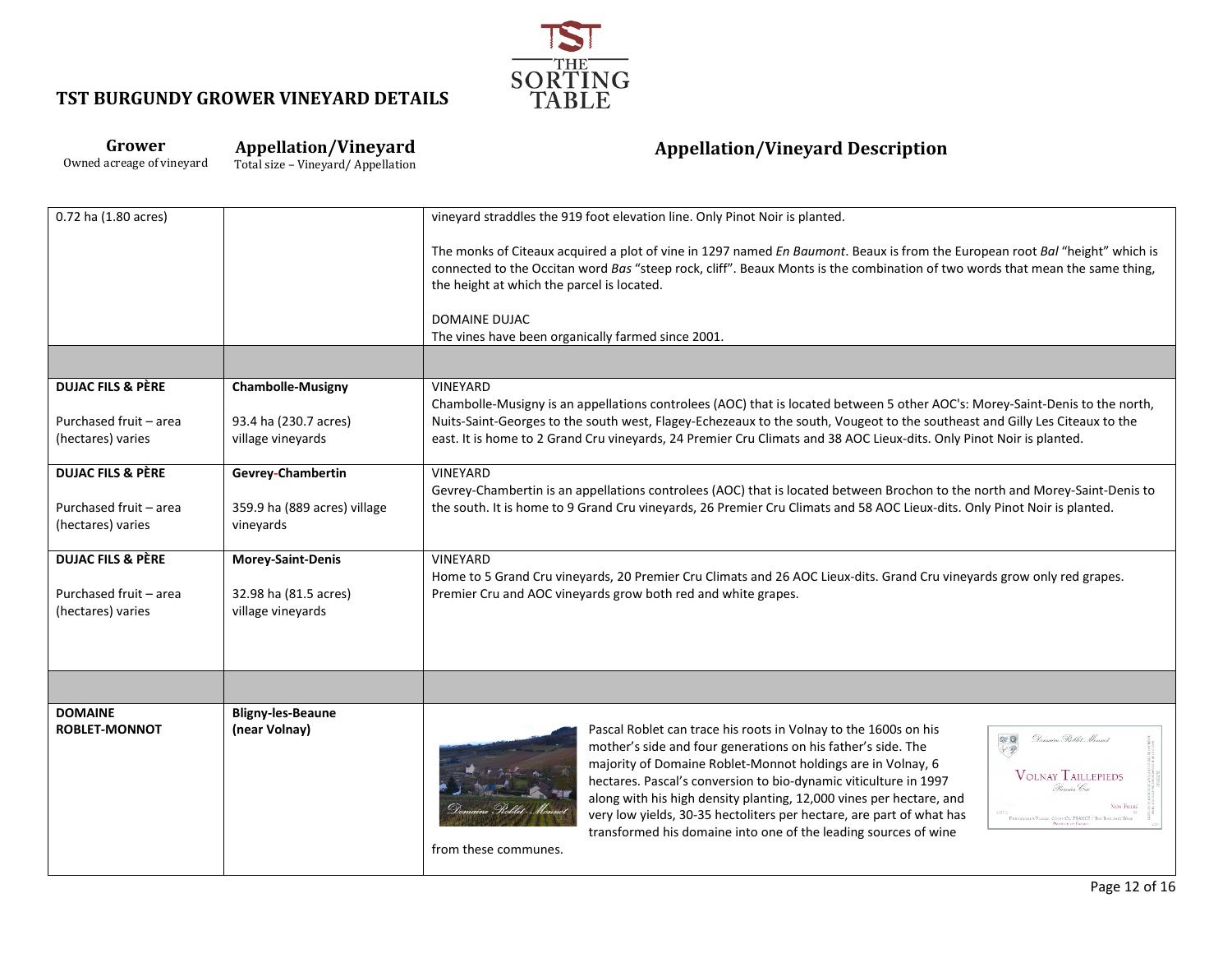

#### **Grower Appellation/Vineyard**

Owned acreage of vineyard

Total size – Vineyard/ Appellation

| 0.72 ha (1.80 acres)         |                              | vineyard straddles the 919 foot elevation line. Only Pinot Noir is planted.                                                                                                                                                                                                                                                                                                                                                                                                                                  |                                                                                                                                                                                                                                                                                                                                                                                                                                                                                                                            |
|------------------------------|------------------------------|--------------------------------------------------------------------------------------------------------------------------------------------------------------------------------------------------------------------------------------------------------------------------------------------------------------------------------------------------------------------------------------------------------------------------------------------------------------------------------------------------------------|----------------------------------------------------------------------------------------------------------------------------------------------------------------------------------------------------------------------------------------------------------------------------------------------------------------------------------------------------------------------------------------------------------------------------------------------------------------------------------------------------------------------------|
|                              |                              | The monks of Citeaux acquired a plot of vine in 1297 named En Baumont. Beaux is from the European root Bal "height" which is<br>connected to the Occitan word Bas "steep rock, cliff". Beaux Monts is the combination of two words that mean the same thing,<br>the height at which the parcel is located.                                                                                                                                                                                                   |                                                                                                                                                                                                                                                                                                                                                                                                                                                                                                                            |
|                              |                              | <b>DOMAINE DUJAC</b><br>The vines have been organically farmed since 2001.                                                                                                                                                                                                                                                                                                                                                                                                                                   |                                                                                                                                                                                                                                                                                                                                                                                                                                                                                                                            |
|                              |                              |                                                                                                                                                                                                                                                                                                                                                                                                                                                                                                              |                                                                                                                                                                                                                                                                                                                                                                                                                                                                                                                            |
|                              |                              |                                                                                                                                                                                                                                                                                                                                                                                                                                                                                                              |                                                                                                                                                                                                                                                                                                                                                                                                                                                                                                                            |
| <b>DUJAC FILS &amp; PÈRE</b> | <b>Chambolle-Musigny</b>     | VINEYARD                                                                                                                                                                                                                                                                                                                                                                                                                                                                                                     |                                                                                                                                                                                                                                                                                                                                                                                                                                                                                                                            |
| Purchased fruit - area       | 93.4 ha (230.7 acres)        | Chambolle-Musigny is an appellations controlees (AOC) that is located between 5 other AOC's: Morey-Saint-Denis to the north,<br>Nuits-Saint-Georges to the south west, Flagey-Echezeaux to the south, Vougeot to the southeast and Gilly Les Citeaux to the                                                                                                                                                                                                                                                  |                                                                                                                                                                                                                                                                                                                                                                                                                                                                                                                            |
| (hectares) varies            | village vineyards            | east. It is home to 2 Grand Cru vineyards, 24 Premier Cru Climats and 38 AOC Lieux-dits. Only Pinot Noir is planted.                                                                                                                                                                                                                                                                                                                                                                                         |                                                                                                                                                                                                                                                                                                                                                                                                                                                                                                                            |
|                              |                              |                                                                                                                                                                                                                                                                                                                                                                                                                                                                                                              |                                                                                                                                                                                                                                                                                                                                                                                                                                                                                                                            |
| <b>DUJAC FILS &amp; PÈRE</b> | Gevrey-Chambertin            | VINEYARD                                                                                                                                                                                                                                                                                                                                                                                                                                                                                                     |                                                                                                                                                                                                                                                                                                                                                                                                                                                                                                                            |
| Purchased fruit - area       | 359.9 ha (889 acres) village | Gevrey-Chambertin is an appellations controlees (AOC) that is located between Brochon to the north and Morey-Saint-Denis to<br>the south. It is home to 9 Grand Cru vineyards, 26 Premier Cru Climats and 58 AOC Lieux-dits. Only Pinot Noir is planted.                                                                                                                                                                                                                                                     |                                                                                                                                                                                                                                                                                                                                                                                                                                                                                                                            |
| (hectares) varies            | vineyards                    |                                                                                                                                                                                                                                                                                                                                                                                                                                                                                                              |                                                                                                                                                                                                                                                                                                                                                                                                                                                                                                                            |
|                              |                              |                                                                                                                                                                                                                                                                                                                                                                                                                                                                                                              |                                                                                                                                                                                                                                                                                                                                                                                                                                                                                                                            |
| <b>DUJAC FILS &amp; PÈRE</b> | Morey-Saint-Denis            | VINEYARD                                                                                                                                                                                                                                                                                                                                                                                                                                                                                                     |                                                                                                                                                                                                                                                                                                                                                                                                                                                                                                                            |
| Purchased fruit - area       | 32.98 ha (81.5 acres)        | Home to 5 Grand Cru vineyards, 20 Premier Cru Climats and 26 AOC Lieux-dits. Grand Cru vineyards grow only red grapes.<br>Premier Cru and AOC vineyards grow both red and white grapes.                                                                                                                                                                                                                                                                                                                      |                                                                                                                                                                                                                                                                                                                                                                                                                                                                                                                            |
| (hectares) varies            | village vineyards            |                                                                                                                                                                                                                                                                                                                                                                                                                                                                                                              |                                                                                                                                                                                                                                                                                                                                                                                                                                                                                                                            |
|                              |                              |                                                                                                                                                                                                                                                                                                                                                                                                                                                                                                              |                                                                                                                                                                                                                                                                                                                                                                                                                                                                                                                            |
|                              |                              |                                                                                                                                                                                                                                                                                                                                                                                                                                                                                                              |                                                                                                                                                                                                                                                                                                                                                                                                                                                                                                                            |
|                              |                              |                                                                                                                                                                                                                                                                                                                                                                                                                                                                                                              |                                                                                                                                                                                                                                                                                                                                                                                                                                                                                                                            |
|                              |                              |                                                                                                                                                                                                                                                                                                                                                                                                                                                                                                              |                                                                                                                                                                                                                                                                                                                                                                                                                                                                                                                            |
| <b>DOMAINE</b>               | <b>Bligny-les-Beaune</b>     |                                                                                                                                                                                                                                                                                                                                                                                                                                                                                                              |                                                                                                                                                                                                                                                                                                                                                                                                                                                                                                                            |
| <b>ROBLET-MONNOT</b>         | (near Volnay)                | Pascal Roblet can trace his roots in Volnay to the 1600s on his<br>mother's side and four generations on his father's side. The<br>majority of Domaine Roblet-Monnot holdings are in Volnay, 6<br>hectares. Pascal's conversion to bio-dynamic viticulture in 1997<br>along with his high density planting, 12,000 vines per hectare, and<br>very low yields, 30-35 hectoliters per hectare, are part of what has<br>transformed his domaine into one of the leading sources of wine<br>from these communes. | Demaine Roblet Monnet<br>安全<br><b>VOLNAY TAILLEPIEDS</b><br>Premier Cru<br>NON FILTRÉ<br>$\label{eq:1} \begin{minipage}{.4\linewidth} \textbf{Fourier} \& \textbf{V} \textbf{O} \textbf{1} \textbf{1} \textbf{1} \textbf{1} \textbf{1} \textbf{1} \textbf{1} \textbf{1} \textbf{1} \textbf{1} \textbf{1} \textbf{1} \textbf{1} \textbf{1} \textbf{1} \textbf{1} \textbf{1} \textbf{1} \textbf{1} \textbf{1} \textbf{1} \textbf{1} \textbf{1} \textbf{1} \textbf{1} \textbf{1} \textbf{1} \textbf{1} \textbf{1} \textbf{1}$ |
|                              |                              |                                                                                                                                                                                                                                                                                                                                                                                                                                                                                                              |                                                                                                                                                                                                                                                                                                                                                                                                                                                                                                                            |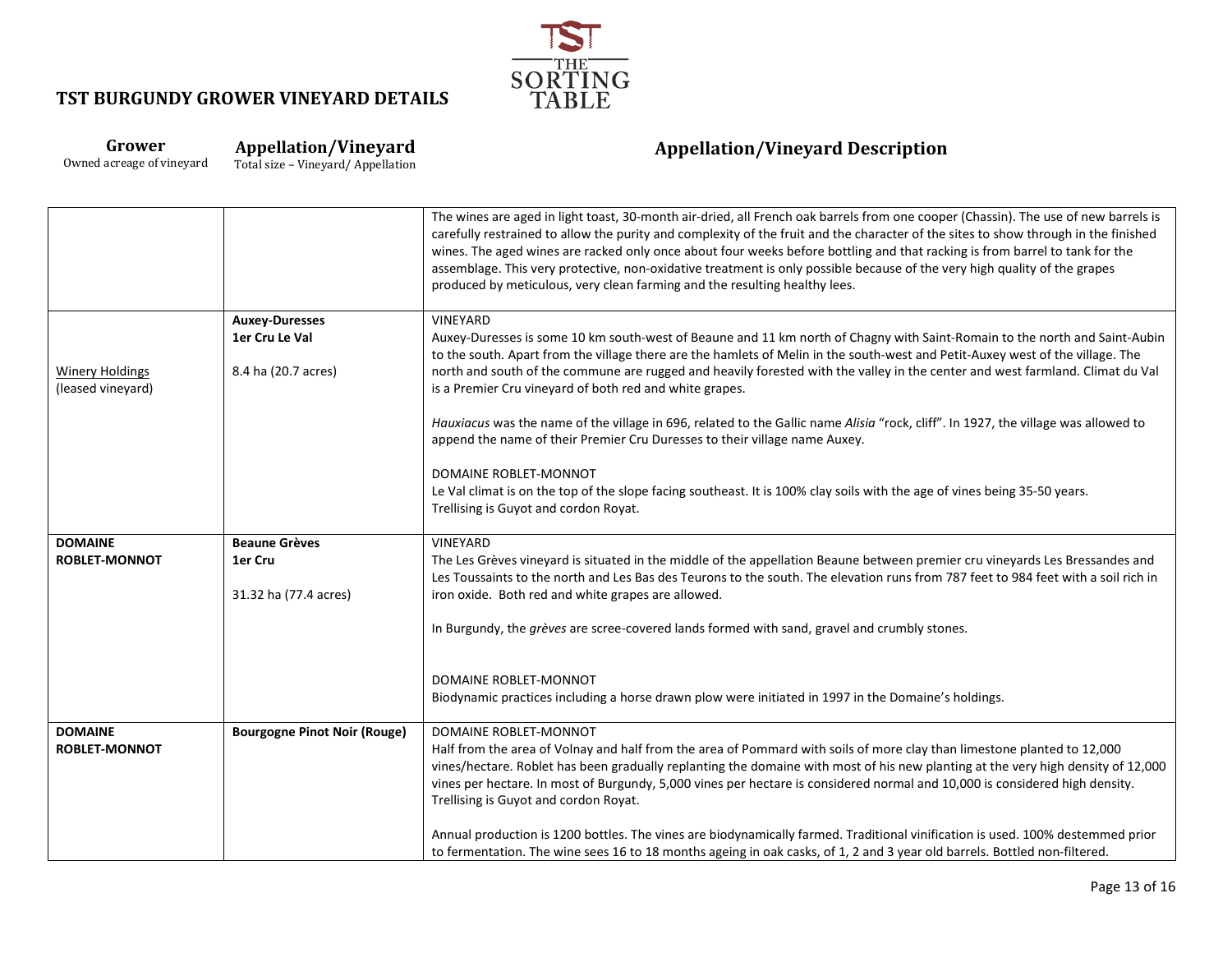

# **Grower**

Owned acreage of vineyard

**Appellation/Vineyard** Total size – Vineyard/ Appellation

|                                             |                                                                | The wines are aged in light toast, 30-month air-dried, all French oak barrels from one cooper (Chassin). The use of new barrels is<br>carefully restrained to allow the purity and complexity of the fruit and the character of the sites to show through in the finished<br>wines. The aged wines are racked only once about four weeks before bottling and that racking is from barrel to tank for the<br>assemblage. This very protective, non-oxidative treatment is only possible because of the very high quality of the grapes<br>produced by meticulous, very clean farming and the resulting healthy lees. |
|---------------------------------------------|----------------------------------------------------------------|---------------------------------------------------------------------------------------------------------------------------------------------------------------------------------------------------------------------------------------------------------------------------------------------------------------------------------------------------------------------------------------------------------------------------------------------------------------------------------------------------------------------------------------------------------------------------------------------------------------------|
| <b>Winery Holdings</b><br>(leased vineyard) | <b>Auxey-Duresses</b><br>1er Cru Le Val<br>8.4 ha (20.7 acres) | VINEYARD<br>Auxey-Duresses is some 10 km south-west of Beaune and 11 km north of Chagny with Saint-Romain to the north and Saint-Aubin<br>to the south. Apart from the village there are the hamlets of Melin in the south-west and Petit-Auxey west of the village. The<br>north and south of the commune are rugged and heavily forested with the valley in the center and west farmland. Climat du Val<br>is a Premier Cru vineyard of both red and white grapes.                                                                                                                                                |
|                                             |                                                                | Hauxiacus was the name of the village in 696, related to the Gallic name Alisia "rock, cliff". In 1927, the village was allowed to<br>append the name of their Premier Cru Duresses to their village name Auxey.                                                                                                                                                                                                                                                                                                                                                                                                    |
|                                             |                                                                | DOMAINE ROBLET-MONNOT<br>Le Val climat is on the top of the slope facing southeast. It is 100% clay soils with the age of vines being 35-50 years.<br>Trellising is Guyot and cordon Royat.                                                                                                                                                                                                                                                                                                                                                                                                                         |
| <b>DOMAINE</b><br><b>ROBLET-MONNOT</b>      | <b>Beaune Grèves</b><br>1er Cru<br>31.32 ha (77.4 acres)       | <b>VINEYARD</b><br>The Les Grèves vineyard is situated in the middle of the appellation Beaune between premier cru vineyards Les Bressandes and<br>Les Toussaints to the north and Les Bas des Teurons to the south. The elevation runs from 787 feet to 984 feet with a soil rich in<br>iron oxide. Both red and white grapes are allowed.                                                                                                                                                                                                                                                                         |
|                                             |                                                                | In Burgundy, the grèves are scree-covered lands formed with sand, gravel and crumbly stones.                                                                                                                                                                                                                                                                                                                                                                                                                                                                                                                        |
|                                             |                                                                | DOMAINE ROBLET-MONNOT<br>Biodynamic practices including a horse drawn plow were initiated in 1997 in the Domaine's holdings.                                                                                                                                                                                                                                                                                                                                                                                                                                                                                        |
| <b>DOMAINE</b><br><b>ROBLET-MONNOT</b>      | <b>Bourgogne Pinot Noir (Rouge)</b>                            | DOMAINE ROBLET-MONNOT<br>Half from the area of Volnay and half from the area of Pommard with soils of more clay than limestone planted to 12,000<br>vines/hectare. Roblet has been gradually replanting the domaine with most of his new planting at the very high density of 12,000<br>vines per hectare. In most of Burgundy, 5,000 vines per hectare is considered normal and 10,000 is considered high density.<br>Trellising is Guyot and cordon Royat.                                                                                                                                                        |
|                                             |                                                                | Annual production is 1200 bottles. The vines are biodynamically farmed. Traditional vinification is used. 100% destemmed prior<br>to fermentation. The wine sees 16 to 18 months ageing in oak casks, of 1, 2 and 3 year old barrels. Bottled non-filtered.                                                                                                                                                                                                                                                                                                                                                         |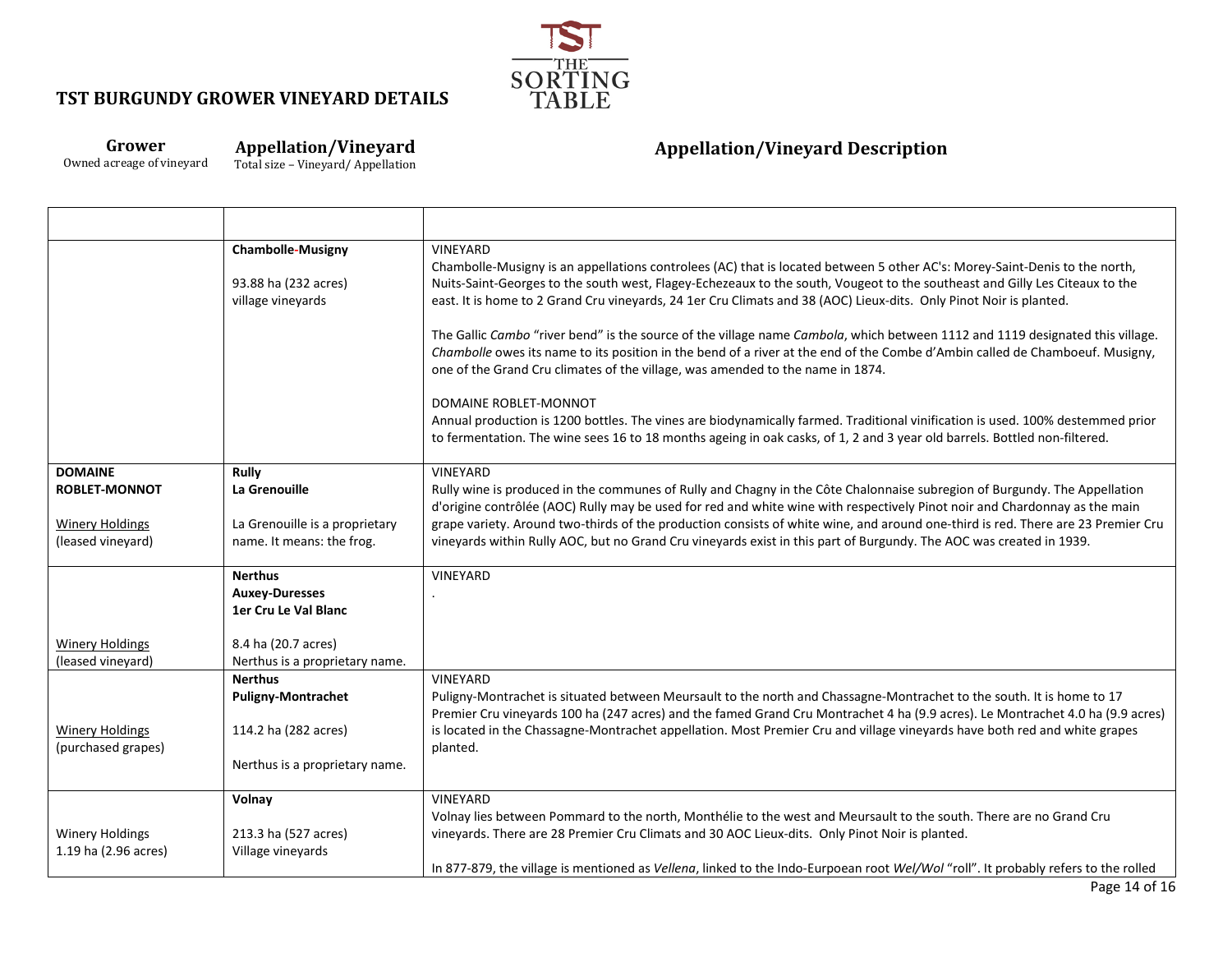

### **Grower** Owned acreage of vineyard

**Appellation/Vineyard**

Total size – Vineyard/ Appellation

Т

|                                                                                       | <b>Chambolle-Musigny</b><br>93.88 ha (232 acres)<br>village vinevards                                 | VINEYARD<br>Chambolle-Musigny is an appellations controlees (AC) that is located between 5 other AC's: Morey-Saint-Denis to the north,<br>Nuits-Saint-Georges to the south west, Flagey-Echezeaux to the south, Vougeot to the southeast and Gilly Les Citeaux to the<br>east. It is home to 2 Grand Cru vineyards, 24 1er Cru Climats and 38 (AOC) Lieux-dits. Only Pinot Noir is planted.<br>The Gallic Cambo "river bend" is the source of the village name Cambola, which between 1112 and 1119 designated this village.<br>Chambolle owes its name to its position in the bend of a river at the end of the Combe d'Ambin called de Chamboeuf. Musigny,<br>one of the Grand Cru climates of the village, was amended to the name in 1874. |
|---------------------------------------------------------------------------------------|-------------------------------------------------------------------------------------------------------|------------------------------------------------------------------------------------------------------------------------------------------------------------------------------------------------------------------------------------------------------------------------------------------------------------------------------------------------------------------------------------------------------------------------------------------------------------------------------------------------------------------------------------------------------------------------------------------------------------------------------------------------------------------------------------------------------------------------------------------------|
|                                                                                       |                                                                                                       | DOMAINE ROBLET-MONNOT<br>Annual production is 1200 bottles. The vines are biodynamically farmed. Traditional vinification is used. 100% destemmed prior<br>to fermentation. The wine sees 16 to 18 months ageing in oak casks, of 1, 2 and 3 year old barrels. Bottled non-filtered.                                                                                                                                                                                                                                                                                                                                                                                                                                                           |
| <b>DOMAINE</b><br><b>ROBLET-MONNOT</b><br><b>Winery Holdings</b><br>(leased vineyard) | Rully<br>La Grenouille<br>La Grenouille is a proprietary<br>name. It means: the frog.                 | <b>VINEYARD</b><br>Rully wine is produced in the communes of Rully and Chagny in the Côte Chalonnaise subregion of Burgundy. The Appellation<br>d'origine contrôlée (AOC) Rully may be used for red and white wine with respectively Pinot noir and Chardonnay as the main<br>grape variety. Around two-thirds of the production consists of white wine, and around one-third is red. There are 23 Premier Cru<br>vineyards within Rully AOC, but no Grand Cru vineyards exist in this part of Burgundy. The AOC was created in 1939.                                                                                                                                                                                                          |
|                                                                                       | <b>Nerthus</b><br><b>Auxey-Duresses</b><br>1er Cru Le Val Blanc                                       | VINEYARD                                                                                                                                                                                                                                                                                                                                                                                                                                                                                                                                                                                                                                                                                                                                       |
| <b>Winery Holdings</b><br>(leased vineyard)                                           | 8.4 ha (20.7 acres)<br>Nerthus is a proprietary name.                                                 |                                                                                                                                                                                                                                                                                                                                                                                                                                                                                                                                                                                                                                                                                                                                                |
| <b>Winery Holdings</b><br>(purchased grapes)                                          | <b>Nerthus</b><br><b>Puligny-Montrachet</b><br>114.2 ha (282 acres)<br>Nerthus is a proprietary name. | VINEYARD<br>Puligny-Montrachet is situated between Meursault to the north and Chassagne-Montrachet to the south. It is home to 17<br>Premier Cru vineyards 100 ha (247 acres) and the famed Grand Cru Montrachet 4 ha (9.9 acres). Le Montrachet 4.0 ha (9.9 acres)<br>is located in the Chassagne-Montrachet appellation. Most Premier Cru and village vineyards have both red and white grapes<br>planted.                                                                                                                                                                                                                                                                                                                                   |
| <b>Winery Holdings</b><br>1.19 ha (2.96 acres)                                        | Volnay<br>213.3 ha (527 acres)<br>Village vineyards                                                   | VINEYARD<br>Volnay lies between Pommard to the north, Monthélie to the west and Meursault to the south. There are no Grand Cru<br>vineyards. There are 28 Premier Cru Climats and 30 AOC Lieux-dits. Only Pinot Noir is planted.<br>In 877-879, the village is mentioned as Vellena, linked to the Indo-Eurpoean root Wel/Wol "roll". It probably refers to the rolled                                                                                                                                                                                                                                                                                                                                                                         |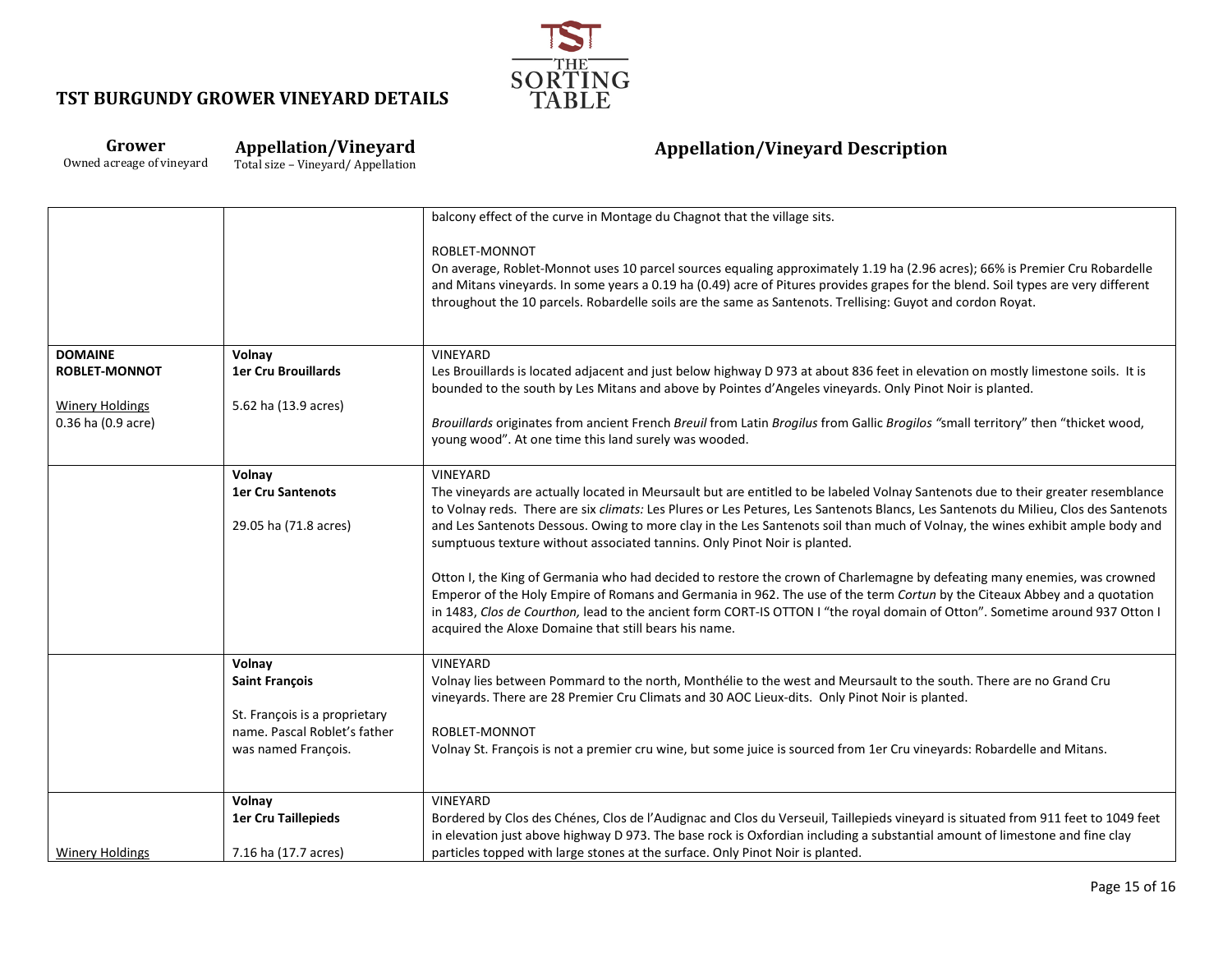

### **Grower** Owned acreage of vineyard

**Appellation/Vineyard** Total size – Vineyard/ Appellation

|                        |                               | balcony effect of the curve in Montage du Chagnot that the village sits.                                                                                                                                                                                         |
|------------------------|-------------------------------|------------------------------------------------------------------------------------------------------------------------------------------------------------------------------------------------------------------------------------------------------------------|
|                        |                               | ROBLET-MONNOT                                                                                                                                                                                                                                                    |
|                        |                               | On average, Roblet-Monnot uses 10 parcel sources equaling approximately 1.19 ha (2.96 acres); 66% is Premier Cru Robardelle<br>and Mitans vineyards. In some years a 0.19 ha (0.49) acre of Pitures provides grapes for the blend. Soil types are very different |
|                        |                               | throughout the 10 parcels. Robardelle soils are the same as Santenots. Trellising: Guyot and cordon Royat.                                                                                                                                                       |
|                        |                               |                                                                                                                                                                                                                                                                  |
| <b>DOMAINE</b>         | Volnay                        | <b>VINEYARD</b>                                                                                                                                                                                                                                                  |
| <b>ROBLET-MONNOT</b>   | 1er Cru Brouillards           | Les Brouillards is located adjacent and just below highway D 973 at about 836 feet in elevation on mostly limestone soils. It is                                                                                                                                 |
|                        |                               | bounded to the south by Les Mitans and above by Pointes d'Angeles vineyards. Only Pinot Noir is planted.                                                                                                                                                         |
| <b>Winery Holdings</b> | 5.62 ha (13.9 acres)          |                                                                                                                                                                                                                                                                  |
| 0.36 ha (0.9 acre)     |                               | Brouillards originates from ancient French Breuil from Latin Brogilus from Gallic Brogilos "small territory" then "thicket wood,<br>young wood". At one time this land surely was wooded.                                                                        |
|                        |                               |                                                                                                                                                                                                                                                                  |
|                        | Volnay                        | <b>VINEYARD</b>                                                                                                                                                                                                                                                  |
|                        | <b>1er Cru Santenots</b>      | The vineyards are actually located in Meursault but are entitled to be labeled Volnay Santenots due to their greater resemblance                                                                                                                                 |
|                        |                               | to Volnay reds. There are six climats: Les Plures or Les Petures, Les Santenots Blancs, Les Santenots du Milieu, Clos des Santenots                                                                                                                              |
|                        | 29.05 ha (71.8 acres)         | and Les Santenots Dessous. Owing to more clay in the Les Santenots soil than much of Volnay, the wines exhibit ample body and<br>sumptuous texture without associated tannins. Only Pinot Noir is planted.                                                       |
|                        |                               |                                                                                                                                                                                                                                                                  |
|                        |                               | Otton I, the King of Germania who had decided to restore the crown of Charlemagne by defeating many enemies, was crowned                                                                                                                                         |
|                        |                               | Emperor of the Holy Empire of Romans and Germania in 962. The use of the term Cortun by the Citeaux Abbey and a quotation                                                                                                                                        |
|                        |                               | in 1483, Clos de Courthon, lead to the ancient form CORT-IS OTTON I "the royal domain of Otton". Sometime around 937 Otton I                                                                                                                                     |
|                        |                               | acquired the Aloxe Domaine that still bears his name.                                                                                                                                                                                                            |
|                        | Volnay                        | <b>VINEYARD</b>                                                                                                                                                                                                                                                  |
|                        | <b>Saint François</b>         | Volnay lies between Pommard to the north, Monthélie to the west and Meursault to the south. There are no Grand Cru                                                                                                                                               |
|                        |                               | vineyards. There are 28 Premier Cru Climats and 30 AOC Lieux-dits. Only Pinot Noir is planted.                                                                                                                                                                   |
|                        | St. François is a proprietary |                                                                                                                                                                                                                                                                  |
|                        | name. Pascal Roblet's father  | ROBLET-MONNOT                                                                                                                                                                                                                                                    |
|                        | was named François.           | Volnay St. François is not a premier cru wine, but some juice is sourced from 1er Cru vineyards: Robardelle and Mitans.                                                                                                                                          |
|                        |                               |                                                                                                                                                                                                                                                                  |
|                        | Volnay                        | VINEYARD                                                                                                                                                                                                                                                         |
|                        | <b>1er Cru Taillepieds</b>    | Bordered by Clos des Chénes, Clos de l'Audignac and Clos du Verseuil, Taillepieds vineyard is situated from 911 feet to 1049 feet                                                                                                                                |
|                        |                               | in elevation just above highway D 973. The base rock is Oxfordian including a substantial amount of limestone and fine clay                                                                                                                                      |
| <b>Winery Holdings</b> | 7.16 ha (17.7 acres)          | particles topped with large stones at the surface. Only Pinot Noir is planted.                                                                                                                                                                                   |